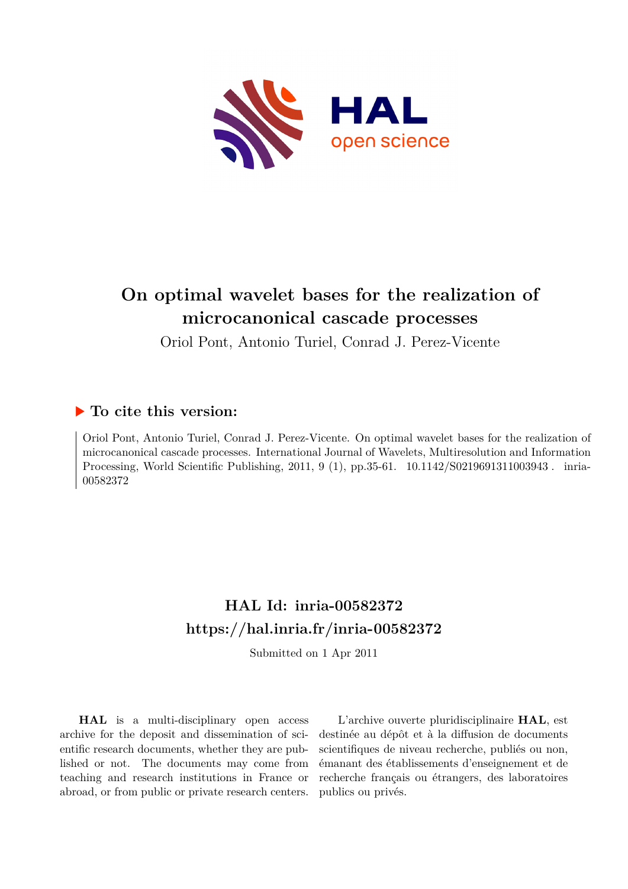

# **On optimal wavelet bases for the realization of microcanonical cascade processes**

Oriol Pont, Antonio Turiel, Conrad J. Perez-Vicente

# **To cite this version:**

Oriol Pont, Antonio Turiel, Conrad J. Perez-Vicente. On optimal wavelet bases for the realization of microcanonical cascade processes. International Journal of Wavelets, Multiresolution and Information Processing, World Scientific Publishing, 2011, 9 (1), pp.35-61. 10.1142/S0219691311003943. inria-00582372ff

# **HAL Id: inria-00582372 <https://hal.inria.fr/inria-00582372>**

Submitted on 1 Apr 2011

**HAL** is a multi-disciplinary open access archive for the deposit and dissemination of scientific research documents, whether they are published or not. The documents may come from teaching and research institutions in France or abroad, or from public or private research centers.

L'archive ouverte pluridisciplinaire **HAL**, est destinée au dépôt et à la diffusion de documents scientifiques de niveau recherche, publiés ou non, émanant des établissements d'enseignement et de recherche français ou étrangers, des laboratoires publics ou privés.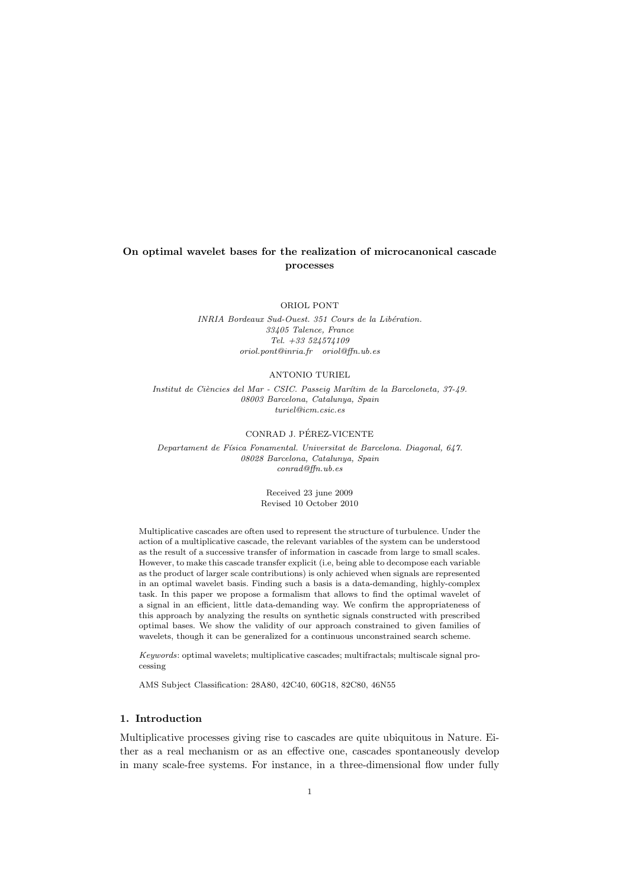# **On optimal wavelet bases for the realization of microcanonical cascade processes**

ORIOL PONT

*INRIA Bordeaux Sud-Ouest. 351 Cours de la Libération. 33405 Talence, France Tel. +33 524574109 oriol.pont@inria.fr oriol@ffn.ub.es*

#### ANTONIO TURIEL

*Institut de Ci`encies del Mar - CSIC. Passeig Mar´ıtim de la Barceloneta, 37-49. 08003 Barcelona, Catalunya, Spain turiel@icm.csic.es*

### CONRAD J. PEREZ-VICENTE ´

*Departament de F´ısica Fonamental. Universitat de Barcelona. Diagonal, 647. 08028 Barcelona, Catalunya, Spain conrad@ffn.ub.es*

> Received 23 june 2009 Revised 10 October 2010

Multiplicative cascades are often used to represent the structure of turbulence. Under the action of a multiplicative cascade, the relevant variables of the system can be understood as the result of a successive transfer of information in cascade from large to small scales. However, to make this cascade transfer explicit (i.e, being able to decompose each variable as the product of larger scale contributions) is only achieved when signals are represented in an optimal wavelet basis. Finding such a basis is a data-demanding, highly-complex task. In this paper we propose a formalism that allows to find the optimal wavelet of a signal in an efficient, little data-demanding way. We confirm the appropriateness of this approach by analyzing the results on synthetic signals constructed with prescribed optimal bases. We show the validity of our approach constrained to given families of wavelets, though it can be generalized for a continuous unconstrained search scheme.

*Keywords*: optimal wavelets; multiplicative cascades; multifractals; multiscale signal processing

AMS Subject Classification: 28A80, 42C40, 60G18, 82C80, 46N55

# **1. Introduction**

Multiplicative processes giving rise to cascades are quite ubiquitous in Nature. Either as a real mechanism or as an effective one, cascades spontaneously develop in many scale-free systems. For instance, in a three-dimensional flow under fully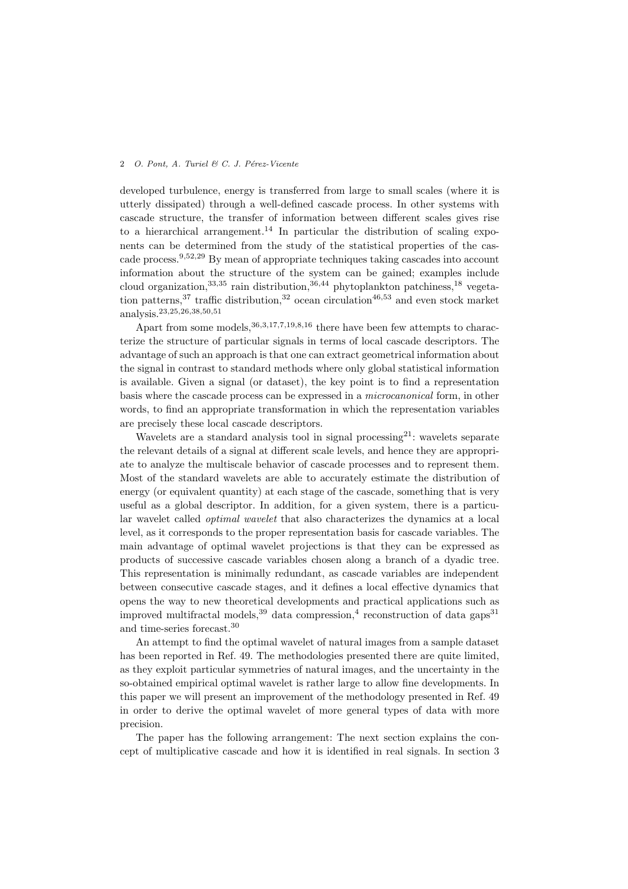developed turbulence, energy is transferred from large to small scales (where it is utterly dissipated) through a well-defined cascade process. In other systems with cascade structure, the transfer of information between different scales gives rise to a hierarchical arrangement.<sup>14</sup> In particular the distribution of scaling exponents can be determined from the study of the statistical properties of the cascade process.<sup>9</sup>*,*52*,*<sup>29</sup> By mean of appropriate techniques taking cascades into account information about the structure of the system can be gained; examples include cloud organization,<sup>33</sup>*,*<sup>35</sup> rain distribution,<sup>36</sup>*,*<sup>44</sup> phytoplankton patchiness,<sup>18</sup> vegetation patterns,<sup>37</sup> traffic distribution,<sup>32</sup> ocean circulation<sup>46,53</sup> and even stock market analysis.<sup>23</sup>*,*25*,*26*,*38*,*50*,*<sup>51</sup>

Apart from some models,<sup>36</sup>*,*3*,*17*,*7*,*19*,*8*,*<sup>16</sup> there have been few attempts to characterize the structure of particular signals in terms of local cascade descriptors. The advantage of such an approach is that one can extract geometrical information about the signal in contrast to standard methods where only global statistical information is available. Given a signal (or dataset), the key point is to find a representation basis where the cascade process can be expressed in a *microcanonical* form, in other words, to find an appropriate transformation in which the representation variables are precisely these local cascade descriptors.

Wavelets are a standard analysis tool in signal processing<sup>21</sup>: wavelets separate the relevant details of a signal at different scale levels, and hence they are appropriate to analyze the multiscale behavior of cascade processes and to represent them. Most of the standard wavelets are able to accurately estimate the distribution of energy (or equivalent quantity) at each stage of the cascade, something that is very useful as a global descriptor. In addition, for a given system, there is a particular wavelet called *optimal wavelet* that also characterizes the dynamics at a local level, as it corresponds to the proper representation basis for cascade variables. The main advantage of optimal wavelet projections is that they can be expressed as products of successive cascade variables chosen along a branch of a dyadic tree. This representation is minimally redundant, as cascade variables are independent between consecutive cascade stages, and it defines a local effective dynamics that opens the way to new theoretical developments and practical applications such as improved multifractal models,  $39$  data compression,  $4$  reconstruction of data gaps  $31$ and time-series forecast.<sup>30</sup>

An attempt to find the optimal wavelet of natural images from a sample dataset has been reported in Ref. 49. The methodologies presented there are quite limited, as they exploit particular symmetries of natural images, and the uncertainty in the so-obtained empirical optimal wavelet is rather large to allow fine developments. In this paper we will present an improvement of the methodology presented in Ref. 49 in order to derive the optimal wavelet of more general types of data with more precision.

The paper has the following arrangement: The next section explains the concept of multiplicative cascade and how it is identified in real signals. In section 3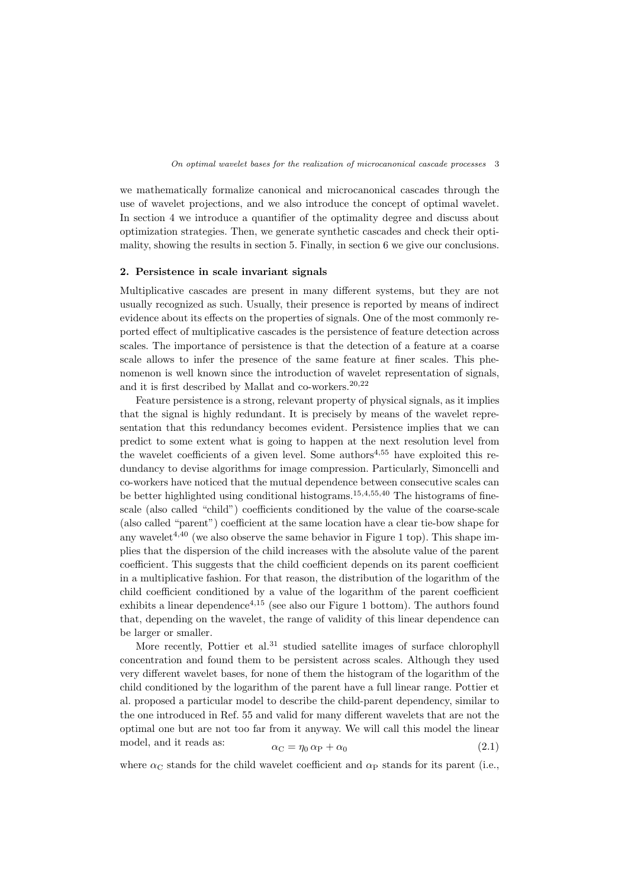we mathematically formalize canonical and microcanonical cascades through the use of wavelet projections, and we also introduce the concept of optimal wavelet. In section 4 we introduce a quantifier of the optimality degree and discuss about optimization strategies. Then, we generate synthetic cascades and check their optimality, showing the results in section 5. Finally, in section 6 we give our conclusions.

#### **2. Persistence in scale invariant signals**

Multiplicative cascades are present in many different systems, but they are not usually recognized as such. Usually, their presence is reported by means of indirect evidence about its effects on the properties of signals. One of the most commonly reported effect of multiplicative cascades is the persistence of feature detection across scales. The importance of persistence is that the detection of a feature at a coarse scale allows to infer the presence of the same feature at finer scales. This phenomenon is well known since the introduction of wavelet representation of signals, and it is first described by Mallat and co-workers.<sup>20</sup>*,*<sup>22</sup>

Feature persistence is a strong, relevant property of physical signals, as it implies that the signal is highly redundant. It is precisely by means of the wavelet representation that this redundancy becomes evident. Persistence implies that we can predict to some extent what is going to happen at the next resolution level from the wavelet coefficients of a given level. Some authors<sup>4,55</sup> have exploited this redundancy to devise algorithms for image compression. Particularly, Simoncelli and co-workers have noticed that the mutual dependence between consecutive scales can be better highlighted using conditional histograms.<sup>15</sup>*,*4*,*55*,*<sup>40</sup> The histograms of finescale (also called "child") coefficients conditioned by the value of the coarse-scale (also called "parent") coefficient at the same location have a clear tie-bow shape for any wavelet<sup>4,40</sup> (we also observe the same behavior in Figure 1 top). This shape implies that the dispersion of the child increases with the absolute value of the parent coefficient. This suggests that the child coefficient depends on its parent coefficient in a multiplicative fashion. For that reason, the distribution of the logarithm of the child coefficient conditioned by a value of the logarithm of the parent coefficient exhibits a linear dependence<sup>4,15</sup> (see also our Figure 1 bottom). The authors found that, depending on the wavelet, the range of validity of this linear dependence can be larger or smaller.

More recently, Pottier et al.<sup>31</sup> studied satellite images of surface chlorophyll concentration and found them to be persistent across scales. Although they used very different wavelet bases, for none of them the histogram of the logarithm of the child conditioned by the logarithm of the parent have a full linear range. Pottier et al. proposed a particular model to describe the child-parent dependency, similar to the one introduced in Ref. 55 and valid for many different wavelets that are not the optimal one but are not too far from it anyway. We will call this model the linear  $model$ , and it reads as:

$$
\alpha_C = \eta_0 \,\alpha_P + \alpha_0 \tag{2.1}
$$

where  $\alpha_{\rm C}$  stands for the child wavelet coefficient and  $\alpha_{\rm P}$  stands for its parent (i.e.,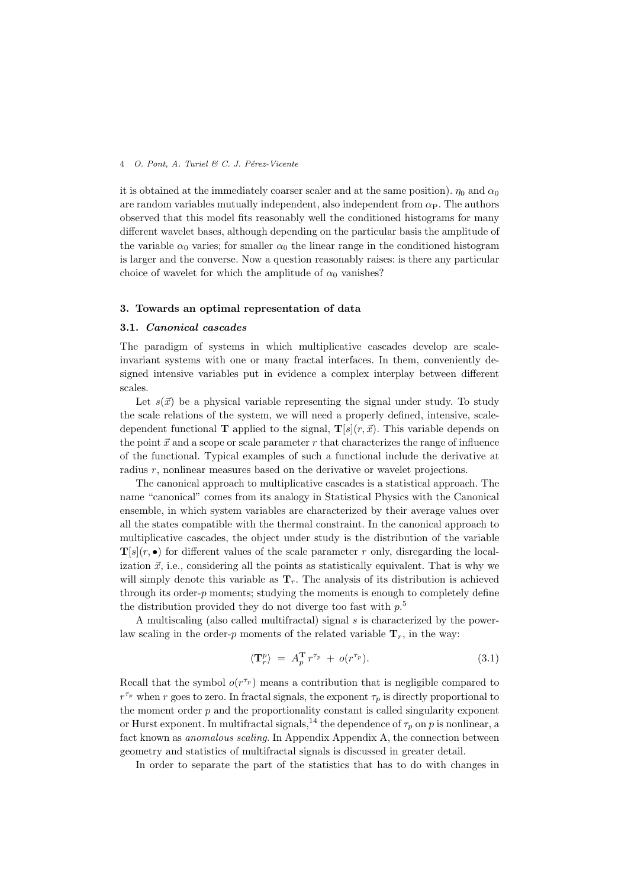it is obtained at the immediately coarser scaler and at the same position).  $\eta_0$  and  $\alpha_0$ are random variables mutually independent, also independent from  $\alpha_{\rm P}$ . The authors observed that this model fits reasonably well the conditioned histograms for many different wavelet bases, although depending on the particular basis the amplitude of the variable  $\alpha_0$  varies; for smaller  $\alpha_0$  the linear range in the conditioned histogram is larger and the converse. Now a question reasonably raises: is there any particular choice of wavelet for which the amplitude of  $\alpha_0$  vanishes?

#### **3. Towards an optimal representation of data**

#### **3.1.** *Canonical cascades*

The paradigm of systems in which multiplicative cascades develop are scaleinvariant systems with one or many fractal interfaces. In them, conveniently designed intensive variables put in evidence a complex interplay between different scales.

Let  $s(\vec{x})$  be a physical variable representing the signal under study. To study the scale relations of the system, we will need a properly defined, intensive, scaledependent functional **T** applied to the signal,  $\mathbf{T}[s](r, \vec{x})$ . This variable depends on the point  $\vec{x}$  and a scope or scale parameter  $r$  that characterizes the range of influence of the functional. Typical examples of such a functional include the derivative at radius *r*, nonlinear measures based on the derivative or wavelet projections.

The canonical approach to multiplicative cascades is a statistical approach. The name "canonical" comes from its analogy in Statistical Physics with the Canonical ensemble, in which system variables are characterized by their average values over all the states compatible with the thermal constraint. In the canonical approach to multiplicative cascades, the object under study is the distribution of the variable  $\mathbf{T}[s](r, \bullet)$  for different values of the scale parameter *r* only, disregarding the localization  $\vec{x}$ , i.e., considering all the points as statistically equivalent. That is why we will simply denote this variable as  $\mathbf{T}_r$ . The analysis of its distribution is achieved through its order-*p* moments; studying the moments is enough to completely define the distribution provided they do not diverge too fast with *p*. 5

A multiscaling (also called multifractal) signal *s* is characterized by the powerlaw scaling in the order-*p* moments of the related variable  $\mathbf{T}_r$ , in the way:

$$
\langle \mathbf{T}_r^p \rangle = A_p^{\mathbf{T}} r^{\tau_p} + o(r^{\tau_p}). \tag{3.1}
$$

Recall that the symbol  $o(r^{\tau_p})$  means a contribution that is negligible compared to  $r^{\tau_p}$  when *r* goes to zero. In fractal signals, the exponent  $\tau_p$  is directly proportional to the moment order  $p$  and the proportionality constant is called singularity exponent or Hurst exponent. In multifractal signals,<sup>14</sup> the dependence of  $\tau_p$  on *p* is nonlinear, a fact known as *anomalous scaling*. In Appendix Appendix A, the connection between geometry and statistics of multifractal signals is discussed in greater detail.

In order to separate the part of the statistics that has to do with changes in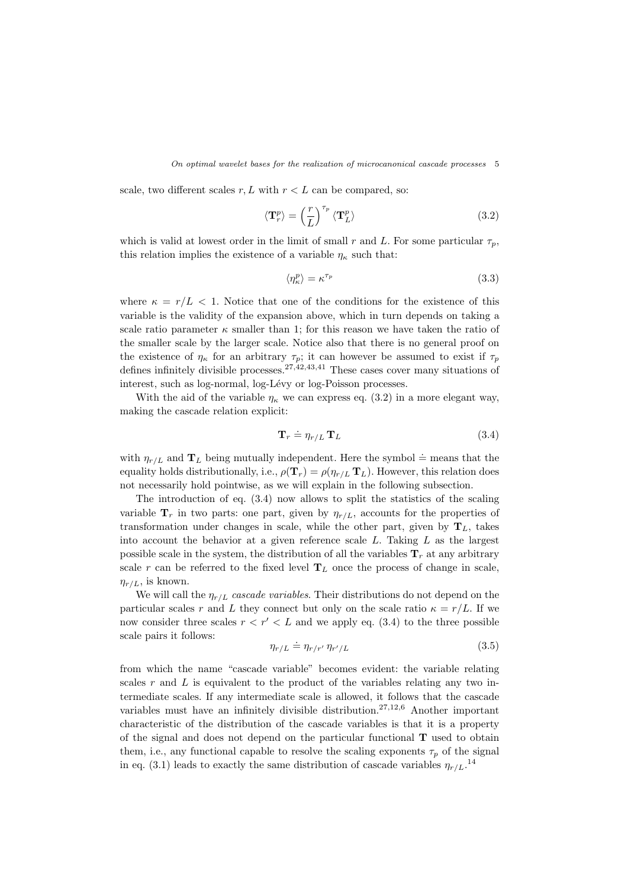scale, two different scales  $r, L$  with  $r < L$  can be compared, so:

$$
\langle \mathbf{T}_r^p \rangle = \left(\frac{r}{L}\right)^{\tau_p} \langle \mathbf{T}_L^p \rangle \tag{3.2}
$$

which is valid at lowest order in the limit of small *r* and *L*. For some particular  $\tau_p$ , this relation implies the existence of a variable  $\eta_{\kappa}$  such that:

$$
\langle \eta_{\kappa}^p \rangle = \kappa^{\tau_p} \tag{3.3}
$$

where  $\kappa = r/L < 1$ . Notice that one of the conditions for the existence of this variable is the validity of the expansion above, which in turn depends on taking a scale ratio parameter  $\kappa$  smaller than 1; for this reason we have taken the ratio of the smaller scale by the larger scale. Notice also that there is no general proof on the existence of  $\eta_{\kappa}$  for an arbitrary  $\tau_p$ ; it can however be assumed to exist if  $\tau_p$ defines infinitely divisible processes.<sup>27</sup>*,*42*,*43*,*<sup>41</sup> These cases cover many situations of interest, such as log-normal, log-Lévy or log-Poisson processes.

With the aid of the variable  $\eta_{\kappa}$  we can express eq. (3.2) in a more elegant way, making the cascade relation explicit:

$$
\mathbf{T}_r \doteq \eta_{r/L} \mathbf{T}_L \tag{3.4}
$$

with  $\eta_{r/L}$  and  $\mathbf{T}_L$  being mutually independent. Here the symbol  $\doteq$  means that the equality holds distributionally, i.e.,  $\rho(\mathbf{T}_r) = \rho(\eta_{r/L} \mathbf{T}_L)$ . However, this relation does not necessarily hold pointwise, as we will explain in the following subsection.

The introduction of eq. (3.4) now allows to split the statistics of the scaling variable  $\mathbf{T}_r$  in two parts: one part, given by  $\eta_{r/L}$ , accounts for the properties of transformation under changes in scale, while the other part, given by  $T_L$ , takes into account the behavior at a given reference scale *L*. Taking *L* as the largest possible scale in the system, the distribution of all the variables  $\mathbf{T}_r$  at any arbitrary scale  $r$  can be referred to the fixed level  $T_L$  once the process of change in scale,  $\eta_{r/L}$ , is known.

We will call the *ηr/L cascade variables*. Their distributions do not depend on the particular scales *r* and *L* they connect but only on the scale ratio  $\kappa = r/L$ . If we now consider three scales  $r < r' < L$  and we apply eq. (3.4) to the three possible scale pairs it follows:

$$
\eta_{r/L} \doteq \eta_{r/r'} \, \eta_{r'/L} \tag{3.5}
$$

from which the name "cascade variable" becomes evident: the variable relating scales *r* and *L* is equivalent to the product of the variables relating any two intermediate scales. If any intermediate scale is allowed, it follows that the cascade variables must have an infinitely divisible distribution.<sup>27</sup>*,*12*,*<sup>6</sup> Another important characteristic of the distribution of the cascade variables is that it is a property of the signal and does not depend on the particular functional **T** used to obtain them, i.e., any functional capable to resolve the scaling exponents  $\tau_p$  of the signal in eq. (3.1) leads to exactly the same distribution of cascade variables  $\eta_{r/L}$ <sup>14</sup>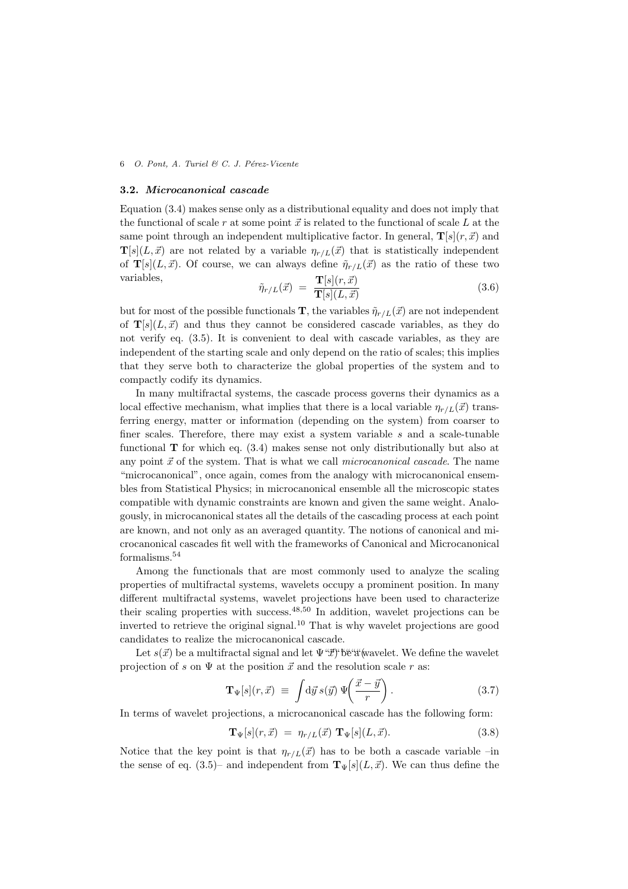#### **3.2.** *Microcanonical cascade*

Equation (3.4) makes sense only as a distributional equality and does not imply that the functional of scale  $r$  at some point  $\vec{x}$  is related to the functional of scale  $L$  at the same point through an independent multiplicative factor. In general,  $\mathbf{T}[s](r, \vec{x})$  and  $\mathbf{T}[s](L, \vec{x})$  are not related by a variable  $\eta_{r/L}(\vec{x})$  that is statistically independent of **T**[s](L,  $\vec{x}$ ). Of course, we can always define  $\tilde{\eta}_{r/L}(\vec{x})$  as the ratio of these two variables,

$$
\tilde{\eta}_{r/L}(\vec{x}) = \frac{\mathbf{T}[s](r,\vec{x})}{\mathbf{T}[s](L,\vec{x})}
$$
\n(3.6)

but for most of the possible functionals **T**, the variables  $\tilde{\eta}_{r/L}(\vec{x})$  are not independent of  $\mathbf{T}[s](L, \vec{x})$  and thus they cannot be considered cascade variables, as they do not verify eq. (3.5). It is convenient to deal with cascade variables, as they are independent of the starting scale and only depend on the ratio of scales; this implies that they serve both to characterize the global properties of the system and to compactly codify its dynamics.

In many multifractal systems, the cascade process governs their dynamics as a local effective mechanism, what implies that there is a local variable  $\eta_{r/L}(\vec{x})$  transferring energy, matter or information (depending on the system) from coarser to finer scales. Therefore, there may exist a system variable *s* and a scale-tunable functional **T** for which eq. (3.4) makes sense not only distributionally but also at any point  $\vec{x}$  of the system. That is what we call *microcanonical cascade*. The name "microcanonical", once again, comes from the analogy with microcanonical ensembles from Statistical Physics; in microcanonical ensemble all the microscopic states compatible with dynamic constraints are known and given the same weight. Analogously, in microcanonical states all the details of the cascading process at each point are known, and not only as an averaged quantity. The notions of canonical and microcanonical cascades fit well with the frameworks of Canonical and Microcanonical formalisms.<sup>54</sup>

Among the functionals that are most commonly used to analyze the scaling properties of multifractal systems, wavelets occupy a prominent position. In many different multifractal systems, wavelet projections have been used to characterize their scaling properties with success.<sup>48</sup>*,*<sup>50</sup> In addition, wavelet projections can be inverted to retrieve the original signal.<sup>10</sup> That is why wavelet projections are good candidates to realize the microcanonical cascade.

Let  $s(\vec{x})$  be a multifractal signal and let  $\Psi^{\alpha}$ "' be a wavelet. We define the wavelet projection of *s* on  $\Psi$  at the position  $\vec{x}$  and the resolution scale *r* as:

$$
\mathbf{T}_{\Psi}[s](r,\vec{x}) \equiv \int \! \mathrm{d}\vec{y} \, s(\vec{y}) \, \Psi\!\!\left(\frac{\vec{x} - \vec{y}}{r}\right). \tag{3.7}
$$

In terms of wavelet projections, a microcanonical cascade has the following form:

$$
\mathbf{T}_{\Psi}[s](r,\vec{x}) = \eta_{r/L}(\vec{x}) \mathbf{T}_{\Psi}[s](L,\vec{x}). \tag{3.8}
$$

Notice that the key point is that  $\eta_{r/L}(\vec{x})$  has to be both a cascade variable –in the sense of eq. (3.5)– and independent from  $\mathbf{T}_{\Psi}[s](L, \vec{x})$ . We can thus define the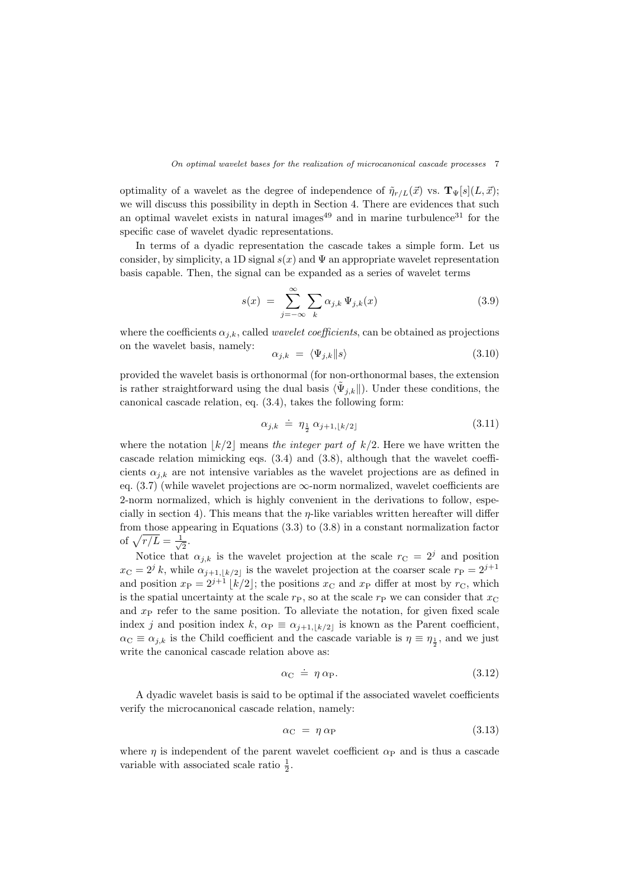optimality of a wavelet as the degree of independence of  $\tilde{\eta}_{r/L}(\vec{x})$  vs.  $\mathbf{T}_{\Psi}[s](L, \vec{x});$ we will discuss this possibility in depth in Section 4. There are evidences that such an optimal wavelet exists in natural images<sup>49</sup> and in marine turbulence<sup>31</sup> for the specific case of wavelet dyadic representations.

In terms of a dyadic representation the cascade takes a simple form. Let us consider, by simplicity, a 1D signal  $s(x)$  and  $\Psi$  an appropriate wavelet representation basis capable. Then, the signal can be expanded as a series of wavelet terms

$$
s(x) = \sum_{j=-\infty}^{\infty} \sum_{k} \alpha_{j,k} \Psi_{j,k}(x)
$$
 (3.9)

where the coefficients  $\alpha_{j,k}$ , called *wavelet coefficients*, can be obtained as projections on the wavelet basis, namely:

$$
\alpha_{j,k} = \langle \Psi_{j,k} || s \rangle \tag{3.10}
$$

provided the wavelet basis is orthonormal (for non-orthonormal bases, the extension is rather straightforward using the dual basis  $\langle \tilde{\Psi}_{j,k} \|$ . Under these conditions, the canonical cascade relation, eq. (3.4), takes the following form:

$$
\alpha_{j,k} \doteq \eta_{\frac{1}{2}} \alpha_{j+1,\lfloor k/2 \rfloor} \tag{3.11}
$$

where the notation  $|k/2|$  means *the integer part of*  $k/2$ . Here we have written the cascade relation mimicking eqs.  $(3.4)$  and  $(3.8)$ , although that the wavelet coefficients  $\alpha_{j,k}$  are not intensive variables as the wavelet projections are as defined in eq.  $(3.7)$  (while wavelet projections are  $\infty$ -norm normalized, wavelet coefficients are 2-norm normalized, which is highly convenient in the derivations to follow, especially in section 4). This means that the *η*-like variables written hereafter will differ from those appearing in Equations (3.3) to (3.8) in a constant normalization factor of  $\sqrt{r/L} = \frac{1}{\sqrt{2}}$  $\overline{2}$ .

Notice that  $\alpha_{j,k}$  is the wavelet projection at the scale  $r_{\text{C}} = 2^{j}$  and position  $x_{\text{C}} = 2^{j} k$ , while  $\alpha_{j+1,|k/2|}$  is the wavelet projection at the coarser scale  $r_{\text{P}} = 2^{j+1}$ and position  $x_P = 2^{j+1} \lfloor k/2 \rfloor$ ; the positions  $x_C$  and  $x_P$  differ at most by  $r_C$ , which is the spatial uncertainty at the scale  $r_P$ , so at the scale  $r_P$  we can consider that  $x_C$ and  $x<sub>P</sub>$  refer to the same position. To alleviate the notation, for given fixed scale index *j* and position index  $k$ ,  $\alpha_{\text{P}} \equiv \alpha_{j+1,|k/2|}$  is known as the Parent coefficient,  $\alpha_{\text{C}} \equiv \alpha_{j,k}$  is the Child coefficient and the cascade variable is  $\eta \equiv \eta_{\frac{1}{2}}$ , and we just write the canonical cascade relation above as:

$$
\alpha_{\rm C} \doteq \eta \, \alpha_{\rm P}.\tag{3.12}
$$

A dyadic wavelet basis is said to be optimal if the associated wavelet coefficients verify the microcanonical cascade relation, namely:

$$
\alpha_{\rm C} = \eta \,\alpha_{\rm P} \tag{3.13}
$$

where  $\eta$  is independent of the parent wavelet coefficient  $\alpha_P$  and is thus a cascade variable with associated scale ratio  $\frac{1}{2}$ .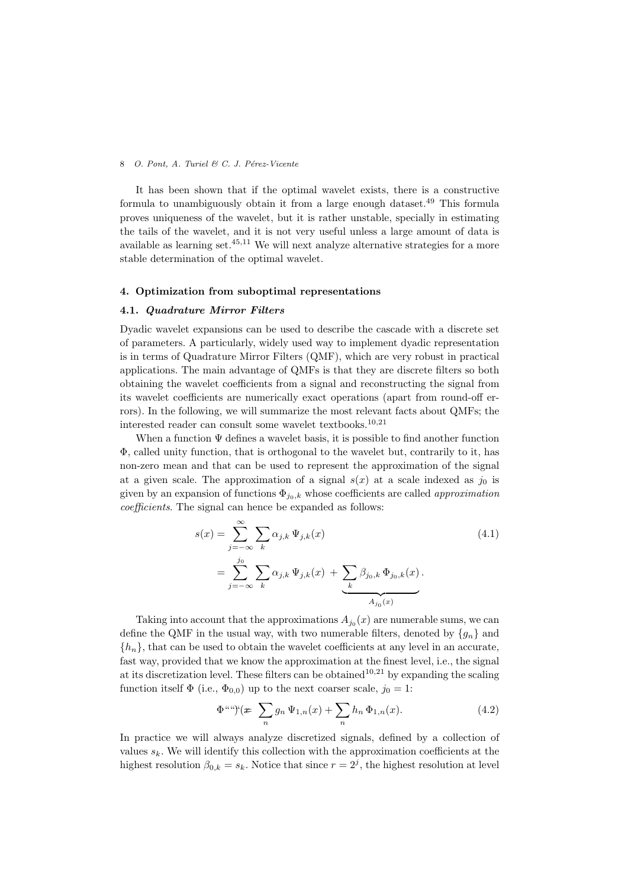It has been shown that if the optimal wavelet exists, there is a constructive formula to unambiguously obtain it from a large enough dataset.<sup>49</sup> This formula proves uniqueness of the wavelet, but it is rather unstable, specially in estimating the tails of the wavelet, and it is not very useful unless a large amount of data is available as learning set.<sup>45</sup>*,*<sup>11</sup> We will next analyze alternative strategies for a more stable determination of the optimal wavelet.

#### **4. Optimization from suboptimal representations**

#### **4.1.** *Quadrature Mirror Filters*

Dyadic wavelet expansions can be used to describe the cascade with a discrete set of parameters. A particularly, widely used way to implement dyadic representation is in terms of Quadrature Mirror Filters (QMF), which are very robust in practical applications. The main advantage of QMFs is that they are discrete filters so both obtaining the wavelet coefficients from a signal and reconstructing the signal from its wavelet coefficients are numerically exact operations (apart from round-off errors). In the following, we will summarize the most relevant facts about QMFs; the interested reader can consult some wavelet textbooks.<sup>10</sup>*,*<sup>21</sup>

When a function  $\Psi$  defines a wavelet basis, it is possible to find another function Φ, called unity function, that is orthogonal to the wavelet but, contrarily to it, has non-zero mean and that can be used to represent the approximation of the signal at a given scale. The approximation of a signal  $s(x)$  at a scale indexed as  $j_0$  is given by an expansion of functions  $\Phi_{j_0,k}$  whose coefficients are called *approximation coefficients*. The signal can hence be expanded as follows:

$$
s(x) = \sum_{j=-\infty}^{\infty} \sum_{k} \alpha_{j,k} \Psi_{j,k}(x)
$$
  
= 
$$
\sum_{j=-\infty}^{j_0} \sum_{k} \alpha_{j,k} \Psi_{j,k}(x) + \underbrace{\sum_{k} \beta_{j_0,k} \Phi_{j_0,k}(x)}_{A_{j_0}(x)}.
$$
 (4.1)

Taking into account that the approximations  $A_{j_0}(x)$  are numerable sums, we can define the QMF in the usual way, with two numerable filters, denoted by  ${g_n}$  and  $\{h_n\}$ , that can be used to obtain the wavelet coefficients at any level in an accurate, fast way, provided that we know the approximation at the finest level, i.e., the signal at its discretization level. These filters can be obtained<sup>10,21</sup> by expanding the scaling function itself  $\Phi$  (i.e.,  $\Phi_{0,0}$ ) up to the next coarser scale,  $j_0 = 1$ :

$$
\Phi^{aug}(\mathcal{F}\sum_{n}g_{n}\Psi_{1,n}(x)+\sum_{n}h_{n}\Phi_{1,n}(x). \tag{4.2}
$$

In practice we will always analyze discretized signals, defined by a collection of values  $s_k$ . We will identify this collection with the approximation coefficients at the highest resolution  $\beta_{0,k} = s_k$ . Notice that since  $r = 2<sup>j</sup>$ , the highest resolution at level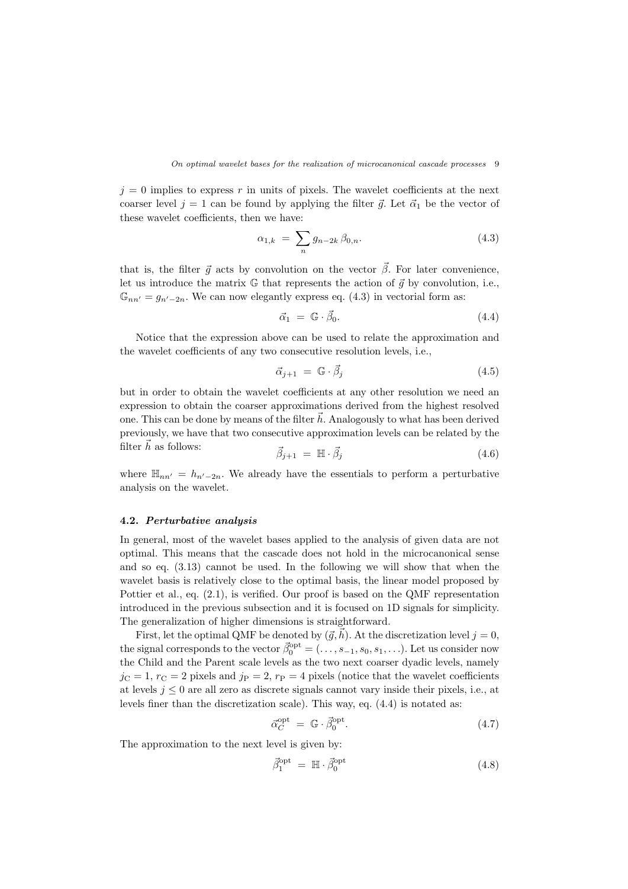$j = 0$  implies to express r in units of pixels. The wavelet coefficients at the next coarser level  $j = 1$  can be found by applying the filter  $\vec{g}$ . Let  $\vec{\alpha}_1$  be the vector of these wavelet coefficients, then we have:

$$
\alpha_{1,k} = \sum_{n} g_{n-2k} \beta_{0,n}.
$$
 (4.3)

that is, the filter  $\vec{g}$  acts by convolution on the vector  $\vec{\beta}$ . For later convenience, let us introduce the matrix  $\mathbb{G}$  that represents the action of  $\vec{q}$  by convolution, i.e.,  $\mathbb{G}_{nn'}=g_{n'-2n}$ . We can now elegantly express eq. (4.3) in vectorial form as:

$$
\vec{\alpha}_1 = \mathbb{G} \cdot \vec{\beta}_0. \tag{4.4}
$$

Notice that the expression above can be used to relate the approximation and the wavelet coefficients of any two consecutive resolution levels, i.e.,

$$
\vec{\alpha}_{j+1} = \mathbb{G} \cdot \vec{\beta}_j \tag{4.5}
$$

but in order to obtain the wavelet coefficients at any other resolution we need an expression to obtain the coarser approximations derived from the highest resolved one. This can be done by means of the filter  $h$ . Analogously to what has been derived previously, we have that two consecutive approximation levels can be related by the filter  $\bar{h}$  as follows:  $\rightarrow$ 

$$
\vec{\beta}_{j+1} = \mathbb{H} \cdot \vec{\beta}_j \tag{4.6}
$$

where  $\mathbb{H}_{nn'} = h_{n'-2n}$ . We already have the essentials to perform a perturbative analysis on the wavelet.

#### **4.2.** *Perturbative analysis*

In general, most of the wavelet bases applied to the analysis of given data are not optimal. This means that the cascade does not hold in the microcanonical sense and so eq. (3.13) cannot be used. In the following we will show that when the wavelet basis is relatively close to the optimal basis, the linear model proposed by Pottier et al., eq. (2.1), is verified. Our proof is based on the QMF representation introduced in the previous subsection and it is focused on 1D signals for simplicity. The generalization of higher dimensions is straightforward.

First, let the optimal QMF be denoted by  $(\vec{g}, \vec{h})$ . At the discretization level  $j = 0$ , the signal corresponds to the vector  $\vec{\beta}_0^{\text{opt}} = (\ldots, s_{-1}, s_0, s_1, \ldots)$ . Let us consider now the Child and the Parent scale levels as the two next coarser dyadic levels, namely  $j_{\text{C}} = 1$ ,  $r_{\text{C}} = 2$  pixels and  $j_{\text{P}} = 2$ ,  $r_{\text{P}} = 4$  pixels (notice that the wavelet coefficients at levels  $j \leq 0$  are all zero as discrete signals cannot vary inside their pixels, i.e., at levels finer than the discretization scale). This way, eq. (4.4) is notated as:

$$
\vec{\alpha}_C^{\text{opt}} = \mathbb{G} \cdot \vec{\beta}_0^{\text{opt}}.
$$
\n(4.7)

The approximation to the next level is given by:

$$
\vec{\beta}_1^{\text{opt}} = \mathbb{H} \cdot \vec{\beta}_0^{\text{opt}} \tag{4.8}
$$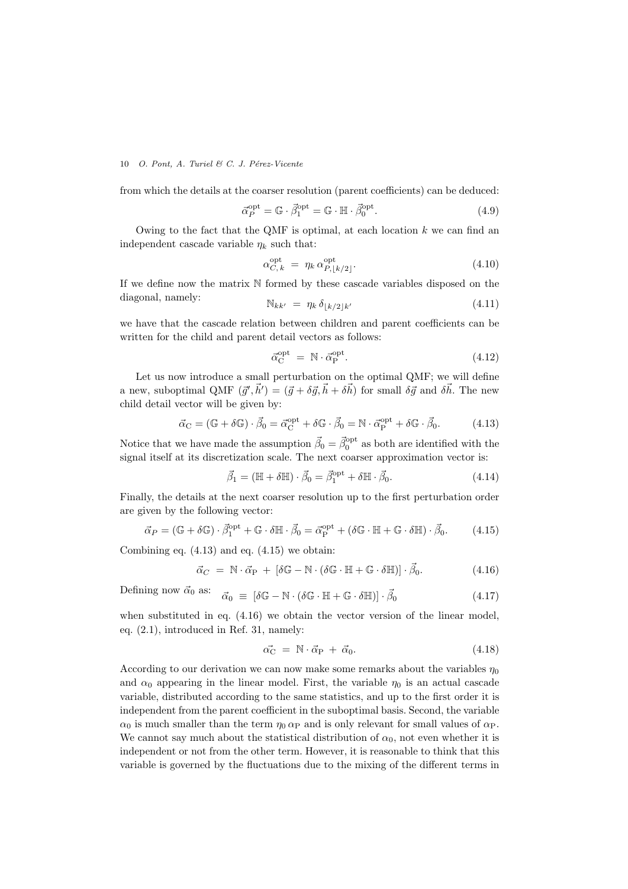from which the details at the coarser resolution (parent coefficients) can be deduced:

$$
\vec{\alpha}_P^{\text{opt}} = \mathbb{G} \cdot \vec{\beta}_1^{\text{opt}} = \mathbb{G} \cdot \mathbb{H} \cdot \vec{\beta}_0^{\text{opt}}.
$$
\n(4.9)

Owing to the fact that the QMF is optimal, at each location *k* we can find an independent cascade variable  $\eta_k$  such that:

$$
\alpha_{C,k}^{\text{opt}} = \eta_k \, \alpha_{P,[k/2]}^{\text{opt}}.\tag{4.10}
$$

If we define now the matrix  $N$  formed by these cascade variables disposed on the diagonal, namely:  $N_{kk'} = \eta_k \delta_{\lfloor k/2 \rfloor k'}$  (4.11)

$$
\mathbb{N}_{kk'} = \eta_k \, \delta_{\lfloor k/2 \rfloor k'} \tag{4.11}
$$

we have that the cascade relation between children and parent coefficients can be written for the child and parent detail vectors as follows:

$$
\vec{\alpha}_{\mathcal{C}}^{\mathrm{opt}} = \mathbb{N} \cdot \vec{\alpha}_{\mathcal{P}}^{\mathrm{opt}}.
$$
\n(4.12)

Let us now introduce a small perturbation on the optimal QMF; we will define a new, suboptimal QMF  $(\vec{g}', \vec{h}') = (\vec{g} + \delta \vec{g}, \vec{h} + \delta \vec{h})$  for small  $\delta \vec{g}$  and  $\delta \vec{h}$ . The new child detail vector will be given by:

$$
\vec{\alpha}_{\mathcal{C}} = (\mathbb{G} + \delta \mathbb{G}) \cdot \vec{\beta}_{0} = \vec{\alpha}_{\mathcal{C}}^{\text{opt}} + \delta \mathbb{G} \cdot \vec{\beta}_{0} = \mathbb{N} \cdot \vec{\alpha}_{\mathcal{P}}^{\text{opt}} + \delta \mathbb{G} \cdot \vec{\beta}_{0}. \tag{4.13}
$$

Notice that we have made the assumption  $\vec{\beta}_0 = \vec{\beta}_0^{\text{opt}}$  as both are identified with the signal itself at its discretization scale. The next coarser approximation vector is:

$$
\vec{\beta}_1 = (\mathbb{H} + \delta \mathbb{H}) \cdot \vec{\beta}_0 = \vec{\beta}_1^{\text{opt}} + \delta \mathbb{H} \cdot \vec{\beta}_0.
$$
 (4.14)

Finally, the details at the next coarser resolution up to the first perturbation order are given by the following vector:

$$
\vec{\alpha}_P = (\mathbb{G} + \delta \mathbb{G}) \cdot \vec{\beta}_1^{\text{opt}} + \mathbb{G} \cdot \delta \mathbb{H} \cdot \vec{\beta}_0 = \vec{\alpha}_P^{\text{opt}} + (\delta \mathbb{G} \cdot \mathbb{H} + \mathbb{G} \cdot \delta \mathbb{H}) \cdot \vec{\beta}_0. \tag{4.15}
$$

Combining eq.  $(4.13)$  and eq.  $(4.15)$  we obtain:

$$
\vec{\alpha}_C = \mathbb{N} \cdot \vec{\alpha}_P + [\delta \mathbb{G} - \mathbb{N} \cdot (\delta \mathbb{G} \cdot \mathbb{H} + \mathbb{G} \cdot \delta \mathbb{H})] \cdot \vec{\beta}_0.
$$
\n(4.16)

Defining now 
$$
\vec{\alpha}_0
$$
 as:  $\vec{\alpha}_0 \equiv [\delta \mathbb{G} - \mathbb{N} \cdot (\delta \mathbb{G} \cdot \mathbb{H} + \mathbb{G} \cdot \delta \mathbb{H})] \cdot \vec{\beta}_0$  (4.17)

when substituted in eq.  $(4.16)$  we obtain the vector version of the linear model, eq. (2.1), introduced in Ref. 31, namely:

$$
\vec{\alpha_{\rm C}} = \mathbb{N} \cdot \vec{\alpha}_{\rm P} + \vec{\alpha}_0. \tag{4.18}
$$

According to our derivation we can now make some remarks about the variables  $\eta_0$ and  $\alpha_0$  appearing in the linear model. First, the variable  $\eta_0$  is an actual cascade variable, distributed according to the same statistics, and up to the first order it is independent from the parent coefficient in the suboptimal basis. Second, the variable  $\alpha_0$  is much smaller than the term  $\eta_0 \alpha_P$  and is only relevant for small values of  $\alpha_P$ . We cannot say much about the statistical distribution of  $\alpha_0$ , not even whether it is independent or not from the other term. However, it is reasonable to think that this variable is governed by the fluctuations due to the mixing of the different terms in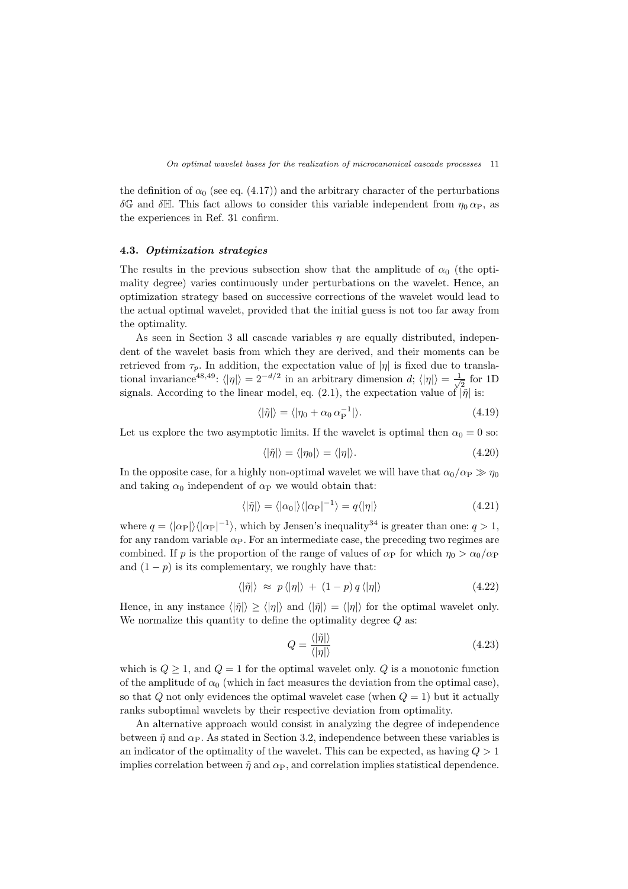the definition of  $\alpha_0$  (see eq. (4.17)) and the arbitrary character of the perturbations *δ*G and *δ*H. This fact allows to consider this variable independent from  $η_0 α_P$ , as the experiences in Ref. 31 confirm.

#### **4.3.** *Optimization strategies*

The results in the previous subsection show that the amplitude of  $\alpha_0$  (the optimality degree) varies continuously under perturbations on the wavelet. Hence, an optimization strategy based on successive corrections of the wavelet would lead to the actual optimal wavelet, provided that the initial guess is not too far away from the optimality.

As seen in Section 3 all cascade variables *η* are equally distributed, independent of the wavelet basis from which they are derived, and their moments can be retrieved from  $\tau_p$ . In addition, the expectation value of  $|\eta|$  is fixed due to translational invariance<sup>48,49</sup>:  $\langle |\eta| \rangle = 2^{-d/2}$  in an arbitrary dimension *d*;  $\langle |\eta| \rangle = \frac{1}{\sqrt{2d}}$  $\frac{1}{2}$  for 1D signals. According to the linear model, eq. (2.1), the expectation value of  $\hat{p}$  is:

$$
\langle |\tilde{\eta}| \rangle = \langle |\eta_0 + \alpha_0 \alpha_P^{-1} | \rangle. \tag{4.19}
$$

Let us explore the two asymptotic limits. If the wavelet is optimal then  $\alpha_0 = 0$  so:

$$
\langle |\tilde{\eta}| \rangle = \langle |\eta_0| \rangle = \langle |\eta| \rangle. \tag{4.20}
$$

In the opposite case, for a highly non-optimal wavelet we will have that  $\alpha_0/\alpha_P \gg \eta_0$ and taking  $\alpha_0$  independent of  $\alpha_P$  we would obtain that:

$$
\langle |\tilde{\eta}| \rangle = \langle |\alpha_0| \rangle \langle |\alpha_{\rm P}|^{-1} \rangle = q \langle |\eta| \rangle \tag{4.21}
$$

where  $q = \langle |\alpha_P| \rangle \langle |\alpha_P|^{-1} \rangle$ , which by Jensen's inequality<sup>34</sup> is greater than one:  $q > 1$ , for any random variable  $\alpha_P$ . For an intermediate case, the preceding two regimes are combined. If *p* is the proportion of the range of values of  $\alpha_P$  for which  $\eta_0 > \alpha_0/\alpha_P$ and  $(1 - p)$  is its complementary, we roughly have that:

$$
\langle |\tilde{\eta}| \rangle \approx p \langle |\eta| \rangle + (1 - p) q \langle |\eta| \rangle \tag{4.22}
$$

Hence, in any instance  $\langle |\tilde{\eta}| \rangle \ge \langle |\eta| \rangle$  and  $\langle |\tilde{\eta}| \rangle = \langle |\eta| \rangle$  for the optimal wavelet only. We normalize this quantity to define the optimality degree *Q* as:

$$
Q = \frac{\langle |\tilde{\eta}| \rangle}{\langle |\eta| \rangle} \tag{4.23}
$$

which is  $Q \geq 1$ , and  $Q = 1$  for the optimal wavelet only.  $Q$  is a monotonic function of the amplitude of  $\alpha_0$  (which in fact measures the deviation from the optimal case), so that  $Q$  not only evidences the optimal wavelet case (when  $Q = 1$ ) but it actually ranks suboptimal wavelets by their respective deviation from optimality.

An alternative approach would consist in analyzing the degree of independence between  $\tilde{\eta}$  and  $\alpha_{\rm P}$ . As stated in Section 3.2, independence between these variables is an indicator of the optimality of the wavelet. This can be expected, as having *Q >* 1 implies correlation between  $\tilde{\eta}$  and  $\alpha_{\rm P}$ , and correlation implies statistical dependence.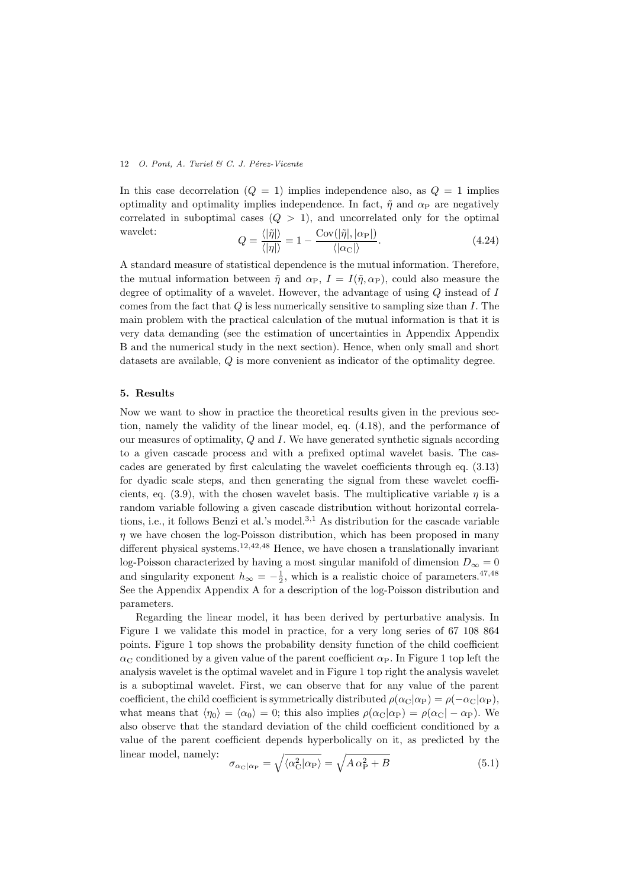In this case decorrelation  $(Q = 1)$  implies independence also, as  $Q = 1$  implies optimality and optimality implies independence. In fact,  $\tilde{\eta}$  and  $\alpha_{\rm P}$  are negatively correlated in suboptimal cases (*Q >* 1), and uncorrelated only for the optimal wavelet:  $\langle |\tilde{\eta}| \rangle$ Cov(*|η*˜*|, |α*P*|*)

$$
Q = \frac{\langle |\eta| \rangle}{\langle |\eta| \rangle} = 1 - \frac{\text{Cov}(|\eta|, |\alpha_{\text{P}}|)}{\langle |\alpha_{\text{C}}| \rangle}.
$$
 (4.24)

A standard measure of statistical dependence is the mutual information. Therefore, the mutual information between  $\tilde{\eta}$  and  $\alpha_{\rm P}$ ,  $I = I(\tilde{\eta}, \alpha_{\rm P})$ , could also measure the degree of optimality of a wavelet. However, the advantage of using *Q* instead of *I* comes from the fact that *Q* is less numerically sensitive to sampling size than *I*. The main problem with the practical calculation of the mutual information is that it is very data demanding (see the estimation of uncertainties in Appendix Appendix B and the numerical study in the next section). Hence, when only small and short datasets are available, *Q* is more convenient as indicator of the optimality degree.

#### **5. Results**

Now we want to show in practice the theoretical results given in the previous section, namely the validity of the linear model, eq. (4.18), and the performance of our measures of optimality, *Q* and *I*. We have generated synthetic signals according to a given cascade process and with a prefixed optimal wavelet basis. The cascades are generated by first calculating the wavelet coefficients through eq. (3.13) for dyadic scale steps, and then generating the signal from these wavelet coefficients, eq. (3.9), with the chosen wavelet basis. The multiplicative variable  $\eta$  is a random variable following a given cascade distribution without horizontal correlations, i.e., it follows Benzi et al.'s model.<sup>3</sup>*,*<sup>1</sup> As distribution for the cascade variable *η* we have chosen the log-Poisson distribution, which has been proposed in many different physical systems.<sup>12</sup>*,*42*,*<sup>48</sup> Hence, we have chosen a translationally invariant log-Poisson characterized by having a most singular manifold of dimension  $D_{\infty} = 0$ and singularity exponent  $h_{\infty} = -\frac{1}{2}$ , which is a realistic choice of parameters.<sup>47,48</sup> See the Appendix Appendix A for a description of the log-Poisson distribution and parameters.

Regarding the linear model, it has been derived by perturbative analysis. In Figure 1 we validate this model in practice, for a very long series of 67 108 864 points. Figure 1 top shows the probability density function of the child coefficient  $\alpha_{\rm C}$  conditioned by a given value of the parent coefficient  $\alpha_{\rm P}$ . In Figure 1 top left the analysis wavelet is the optimal wavelet and in Figure 1 top right the analysis wavelet is a suboptimal wavelet. First, we can observe that for any value of the parent coefficient, the child coefficient is symmetrically distributed  $\rho(\alpha_{\rm C}|\alpha_{\rm P}) = \rho(-\alpha_{\rm C}|\alpha_{\rm P}),$ what means that  $\langle \eta_0 \rangle = \langle \alpha_0 \rangle = 0$ ; this also implies  $\rho(\alpha_C|\alpha_P) = \rho(\alpha_C|- \alpha_P)$ . We also observe that the standard deviation of the child coefficient conditioned by a value of the parent coefficient depends hyperbolically on it, as predicted by the linear model, namely:

$$
\sigma_{\alpha_{\rm C}|\alpha_{\rm P}} = \sqrt{\langle \alpha_{\rm C}^2 | \alpha_{\rm P} \rangle} = \sqrt{A \alpha_{\rm P}^2 + B} \tag{5.1}
$$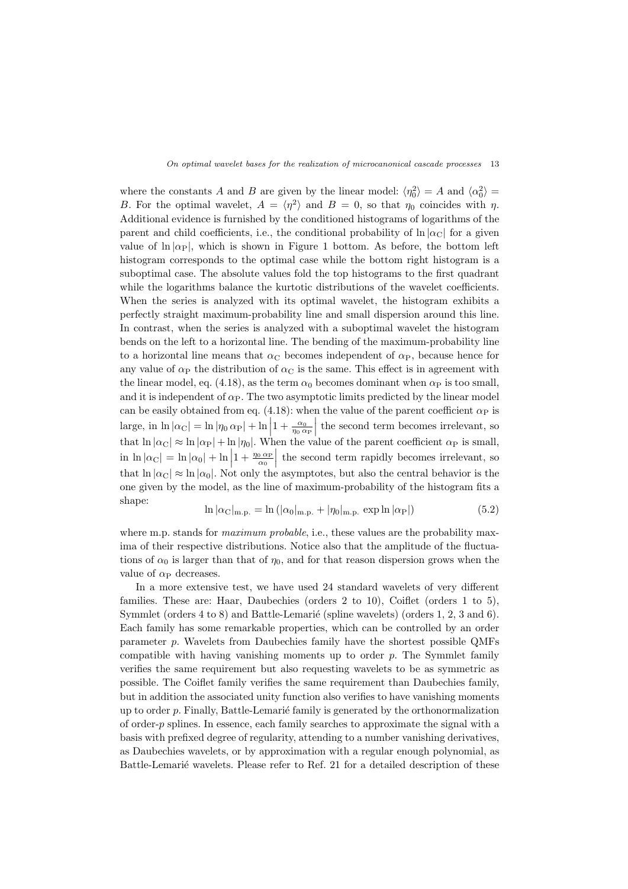where the constants *A* and *B* are given by the linear model:  $\langle \eta_0^2 \rangle = A$  and  $\langle \alpha_0^2 \rangle =$ *B*. For the optimal wavelet,  $A = \langle \eta^2 \rangle$  and  $B = 0$ , so that  $\eta_0$  coincides with  $\eta$ . Additional evidence is furnished by the conditioned histograms of logarithms of the parent and child coefficients, i.e., the conditional probability of  $\ln |\alpha_C|$  for a given value of  $\ln |\alpha_P|$ , which is shown in Figure 1 bottom. As before, the bottom left histogram corresponds to the optimal case while the bottom right histogram is a suboptimal case. The absolute values fold the top histograms to the first quadrant while the logarithms balance the kurtotic distributions of the wavelet coefficients. When the series is analyzed with its optimal wavelet, the histogram exhibits a perfectly straight maximum-probability line and small dispersion around this line. In contrast, when the series is analyzed with a suboptimal wavelet the histogram bends on the left to a horizontal line. The bending of the maximum-probability line to a horizontal line means that  $\alpha_C$  becomes independent of  $\alpha_P$ , because hence for any value of  $\alpha_P$  the distribution of  $\alpha_C$  is the same. This effect is in agreement with the linear model, eq. (4.18), as the term  $\alpha_0$  becomes dominant when  $\alpha_P$  is too small, and it is independent of  $\alpha_P$ . The two asymptotic limits predicted by the linear model can be easily obtained from eq.  $(4.18)$ : when the value of the parent coefficient  $\alpha_{\rm P}$  is  $\left| \arg e, \sin \ln |\alpha_{\text{C}}| = \ln |\eta_0 \alpha_{\text{P}}| + \ln \left| 1 + \frac{\alpha_0}{\eta_0 \alpha_{\text{P}}} \right|$ the second term becomes irrelevant, so that  $\ln |\alpha_C| \approx \ln |\alpha_P| + \ln |\eta_0|$ . When the value of the parent coefficient  $\alpha_P$  is small,  $\ln \left| \alpha_{\text{C}} \right| = \ln \left| \alpha_{0} \right| + \ln \left| 1 + \frac{\eta_{0} \alpha_{\text{P}}}{\alpha_{0}} \right|$ the second term rapidly becomes irrelevant, so that  $\ln |\alpha_{\rm C}| \approx \ln |\alpha_0|$ . Not only the asymptotes, but also the central behavior is the one given by the model, as the line of maximum-probability of the histogram fits a shape:

$$
\ln |\alpha_{\rm C}|_{\rm m.p.} = \ln (|\alpha_0|_{\rm m.p.} + |\eta_0|_{\rm m.p.} \exp \ln |\alpha_{\rm P}|) \tag{5.2}
$$

where m.p. stands for *maximum probable*, i.e., these values are the probability maxima of their respective distributions. Notice also that the amplitude of the fluctuations of  $\alpha_0$  is larger than that of  $\eta_0$ , and for that reason dispersion grows when the value of  $\alpha_P$  decreases.

In a more extensive test, we have used 24 standard wavelets of very different families. These are: Haar, Daubechies (orders 2 to 10), Coiflet (orders 1 to 5), Symmlet (orders  $4$  to  $8$ ) and Battle-Lemarié (spline wavelets) (orders 1, 2, 3 and  $6$ ). Each family has some remarkable properties, which can be controlled by an order parameter *p*. Wavelets from Daubechies family have the shortest possible QMFs compatible with having vanishing moments up to order *p*. The Symmlet family verifies the same requirement but also requesting wavelets to be as symmetric as possible. The Coiflet family verifies the same requirement than Daubechies family, but in addition the associated unity function also verifies to have vanishing moments up to order *p*. Finally, Battle-Lemarié family is generated by the orthonormalization of order-*p* splines. In essence, each family searches to approximate the signal with a basis with prefixed degree of regularity, attending to a number vanishing derivatives, as Daubechies wavelets, or by approximation with a regular enough polynomial, as Battle-Lemarié wavelets. Please refer to Ref. 21 for a detailed description of these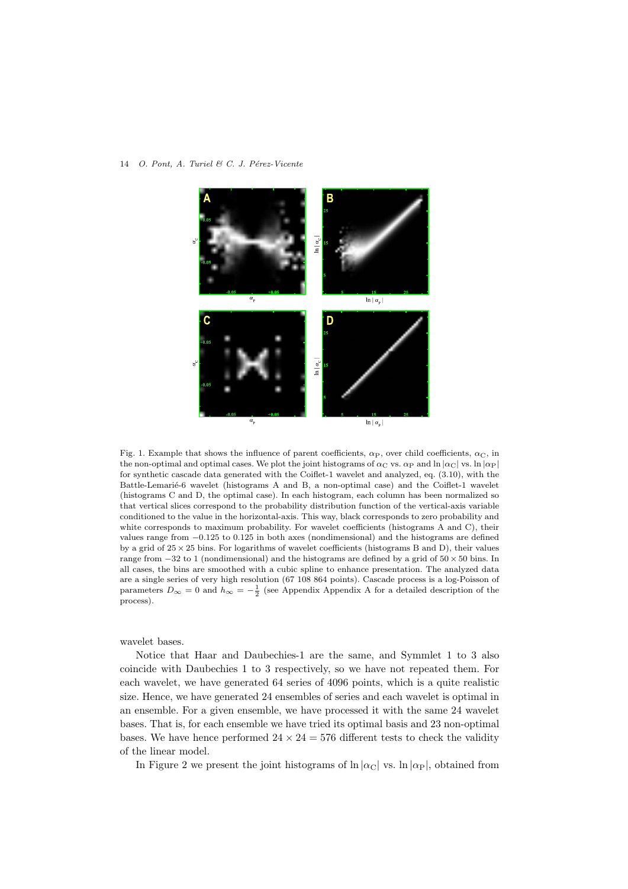

Fig. 1. Example that shows the influence of parent coefficients,  $\alpha_P$ , over child coefficients,  $\alpha_C$ , in the non-optimal and optimal cases. We plot the joint histograms of  $\alpha_C$  vs.  $\alpha_P$  and  $\ln |\alpha_C|$  vs.  $\ln |\alpha_P|$ for synthetic cascade data generated with the Coiflet-1 wavelet and analyzed, eq. (3.10), with the Battle-Lemarié-6 wavelet (histograms A and B, a non-optimal case) and the Coiflet-1 wavelet (histograms C and D, the optimal case). In each histogram, each column has been normalized so that vertical slices correspond to the probability distribution function of the vertical-axis variable conditioned to the value in the horizontal-axis. This way, black corresponds to zero probability and white corresponds to maximum probability. For wavelet coefficients (histograms A and C), their values range from *−*0*.*125 to 0*.*125 in both axes (nondimensional) and the histograms are defined by a grid of 25 *×* 25 bins. For logarithms of wavelet coefficients (histograms B and D), their values range from *−*32 to 1 (nondimensional) and the histograms are defined by a grid of 50 *×* 50 bins. In all cases, the bins are smoothed with a cubic spline to enhance presentation. The analyzed data are a single series of very high resolution (67 108 864 points). Cascade process is a log-Poisson of parameters  $D_{\infty} = 0$  and  $h_{\infty} = -\frac{1}{2}$  (see Appendix Appendix A for a detailed description of the process).

wavelet bases.

Notice that Haar and Daubechies-1 are the same, and Symmlet 1 to 3 also coincide with Daubechies 1 to 3 respectively, so we have not repeated them. For each wavelet, we have generated 64 series of 4096 points, which is a quite realistic size. Hence, we have generated 24 ensembles of series and each wavelet is optimal in an ensemble. For a given ensemble, we have processed it with the same 24 wavelet bases. That is, for each ensemble we have tried its optimal basis and 23 non-optimal bases. We have hence performed  $24 \times 24 = 576$  different tests to check the validity of the linear model.

In Figure 2 we present the joint histograms of  $\ln |\alpha_C|$  vs.  $\ln |\alpha_P|$ , obtained from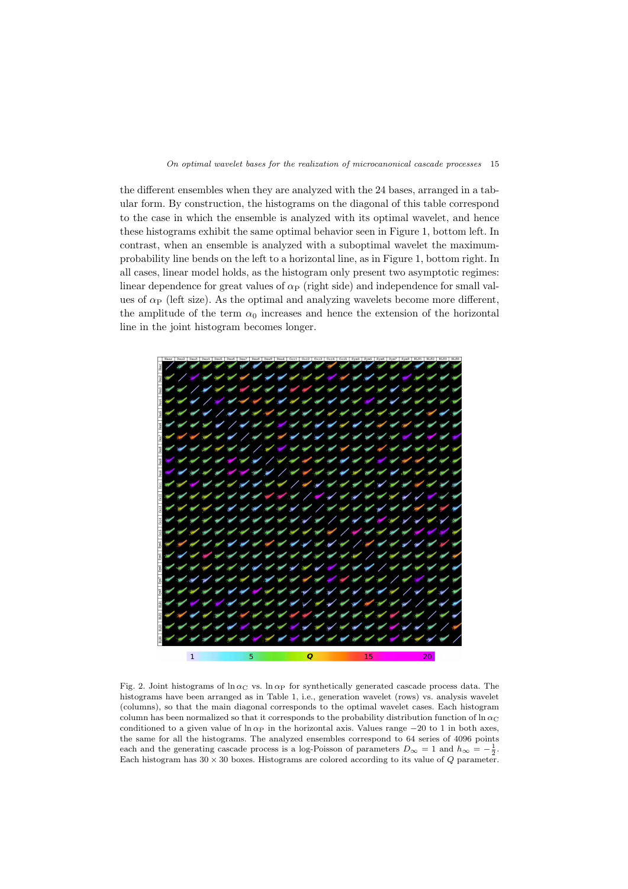the different ensembles when they are analyzed with the 24 bases, arranged in a tabular form. By construction, the histograms on the diagonal of this table correspond to the case in which the ensemble is analyzed with its optimal wavelet, and hence these histograms exhibit the same optimal behavior seen in Figure 1, bottom left. In contrast, when an ensemble is analyzed with a suboptimal wavelet the maximumprobability line bends on the left to a horizontal line, as in Figure 1, bottom right. In all cases, linear model holds, as the histogram only present two asymptotic regimes: linear dependence for great values of  $\alpha_P$  (right side) and independence for small values of  $\alpha_P$  (left size). As the optimal and analyzing wavelets become more different, the amplitude of the term  $\alpha_0$  increases and hence the extension of the horizontal line in the joint histogram becomes longer.



Fig. 2. Joint histograms of  $\ln \alpha$ <sub>C</sub> vs.  $\ln \alpha$ <sub>P</sub> for synthetically generated cascade process data. The histograms have been arranged as in Table 1, i.e., generation wavelet (rows) vs. analysis wavelet (columns), so that the main diagonal corresponds to the optimal wavelet cases. Each histogram column has been normalized so that it corresponds to the probability distribution function of  $\ln \alpha_C$ conditioned to a given value of  $\ln \alpha_P$  in the horizontal axis. Values range  $-20$  to 1 in both axes, the same for all the histograms. The analyzed ensembles correspond to 64 series of 4096 points each and the generating cascade process is a log-Poisson of parameters  $D_{\infty} = 1$  and  $h_{\infty} = -\frac{1}{2}$ . Each histogram has  $30 \times 30$  boxes. Histograms are colored according to its value of  $Q$  parameter.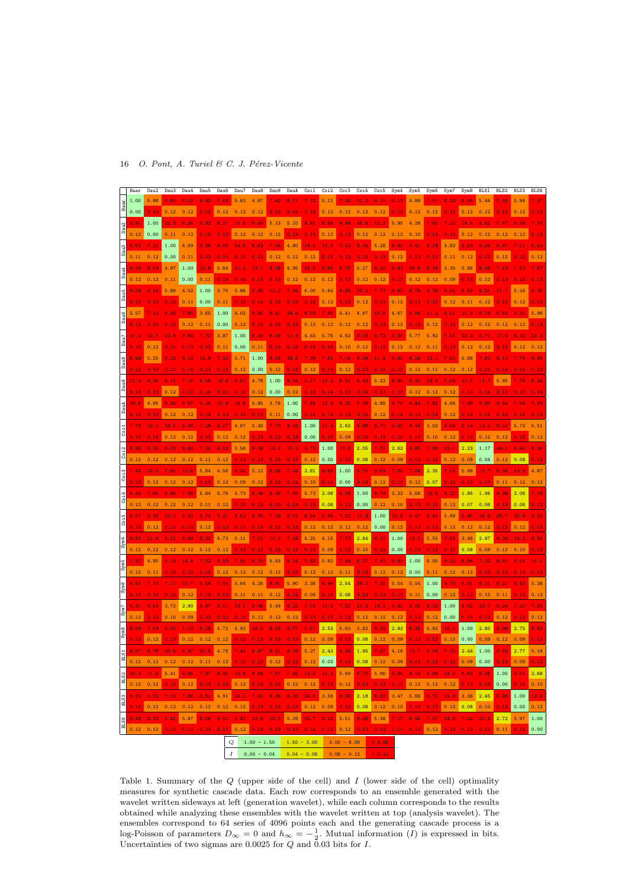|                      | Haar | Dau2     | Dau3 | Dau4 | Dau5 | Dau6                                                                                                     | Dau7 | Dau8 | Dau9 | DauA | $C0$ i 1 | Coi2 | Coi3 | Coi4                                             | Coi5 | Sym4 | Sym5 | Sym6 | Sym7     | Sym8     | BLS1               | <b>BLS2</b> | <b>BLS3</b> | BLS6 |
|----------------------|------|----------|------|------|------|----------------------------------------------------------------------------------------------------------|------|------|------|------|----------|------|------|--------------------------------------------------|------|------|------|------|----------|----------|--------------------|-------------|-------------|------|
|                      | 1.00 | 5.88     |      |      |      |                                                                                                          |      | 4.8  |      |      |          |      |      |                                                  |      |      |      |      |          |          |                    |             |             |      |
|                      | 0.00 | 0.13     | 0.12 | 0.12 | 0.13 | 0.12                                                                                                     | 0.12 | 0.12 |      |      |          | 0.12 | 0.12 | 0.12                                             | 0.12 | 0.13 | 0.12 | 0.12 |          |          | 0.12               |             | 0.12        |      |
|                      | 8.81 | 1.00     |      | 6.26 |      |                                                                                                          |      |      |      | 5.10 |          | 8.84 |      |                                                  |      | 5.95 | 4.28 |      |          |          |                    |             |             |      |
| Dau <sub>2</sub>     | 0.12 | 0.00     | 0.11 | 0.12 |      |                                                                                                          |      |      |      |      |          | 0.12 |      | 0.12                                             | 0.12 | 0.12 | 0.10 |      |          |          |                    |             |             |      |
|                      |      |          |      |      |      |                                                                                                          |      |      |      |      |          |      |      |                                                  |      |      |      |      |          |          |                    |             |             |      |
| Dau <sub>3</sub>     | 6.53 | 7.31     | 1.00 | 4.69 |      | 6.86                                                                                                     |      |      |      | 4.80 | 14.3     |      |      |                                                  | 5.28 | 6.63 | 8.41 |      | 3.83     |          |                    |             |             |      |
|                      | 0.11 | 0.12     | 0.00 | 0.11 | 0.13 |                                                                                                          |      |      | 0.12 | 0.12 | 0.12     |      |      |                                                  | 0.13 | 0.12 | 0.13 |      | 0.11     | 0.12     |                    |             |             |      |
|                      | 9.10 | 8.59     | 4.97 | 1.00 |      | 5.64                                                                                                     |      |      |      | 4.95 | 10.6     | 8.69 |      |                                                  | 6.25 | 8.49 | 38.6 | 6.59 | 3.35     | 5.86     |                    |             |             |      |
| Dau4                 | 0.12 | 0.12     | 0.11 | 0.00 | 0.11 | 0.13                                                                                                     |      |      |      | 0.12 | 0.12     | 0.12 |      | 0.12                                             | 0.12 | 0.13 | 0.12 | 0.12 | 0.09     | 0.13     | 0.12               |             |             |      |
|                      | 9.04 |          | 5.88 | 4.02 | 1.00 | 3.75                                                                                                     | 5.86 |      |      |      | 6.00     | 5.64 | 6.95 |                                                  |      |      |      |      | 6.85     |          |                    |             |             |      |
| Å                    |      |          |      |      |      |                                                                                                          | 0.13 |      |      |      | 0.13     |      |      |                                                  |      |      |      | 0.13 |          | 0.11     |                    |             |             |      |
|                      | 0.13 | 0.13     | 0.13 | 0.11 | 0.00 | 0.11                                                                                                     |      |      |      |      |          | 0.12 | 0.13 | 0.12                                             | 0.13 | 0.12 | 0.13 |      | 0.12     |          | 0.12               |             | 0.12        |      |
| Dau <sub>6</sub>     | 5.57 |          |      | 7.60 | 3.65 | 1.00                                                                                                     | 4.02 |      |      |      |          |      |      |                                                  |      | 4.67 | 6.06 |      |          |          |                    |             |             |      |
|                      | 0.13 |          |      | 0.12 | 0.11 | 0.00                                                                                                     | 0.12 | 0.13 |      |      | 0.12     | 0.12 | 0.12 | 0.12                                             | 0.13 | 0.12 | 0.13 | 0.12 | 0.13     | 0.12     | 0.12               |             | 0.12        |      |
|                      | 10.2 |          |      |      |      | 3.87                                                                                                     | 1.00 | 6.33 |      |      | 4.63     | 5.76 |      |                                                  | 6.73 | 6.05 | 5.77 |      | 7.55     |          |                    |             |             |      |
| Dau7                 | 0.13 | 0.12     |      | 0.13 | 0.13 | 0.11                                                                                                     | 0.00 | 0.11 | 0.13 | 0.13 | 0.13     | 0.13 | 0.10 | 0.12                                             | 0.13 | 0.12 | 0.12 | 0.11 | 0.13     | 0.12     | 0.12               |             | 0.12        |      |
|                      | 6.64 | 5.25     |      |      |      | 7.16                                                                                                     | 5.71 | 1.00 | 9.82 |      |          |      | . 18 |                                                  |      | 6.86 | 6.24 |      | 7.85     | 5.88     |                    |             |             |      |
| Dau <sub>8</sub>     |      |          |      |      |      |                                                                                                          |      |      |      |      |          |      |      |                                                  |      |      |      |      |          |          |                    |             |             |      |
|                      | 0.13 | 0.13     |      |      |      |                                                                                                          | 0.12 | 0.00 | 0.12 | 0.13 | 0.12     |      | 0.12 |                                                  |      | 0.13 | 0.12 | 0.11 | 0.12     | 0.12     |                    |             |             |      |
|                      |      | 8.34     |      |      |      |                                                                                                          | 8.50 | 4.78 | 1.00 | 9.04 |          |      |      |                                                  | 5.23 | 6.89 | 8.32 | 23.  | 7.06     |          |                    |             |             |      |
| Å                    | 0.13 | 0.13     | 0.12 |      |      |                                                                                                          |      | 0.12 | 0.00 | 0.12 | 0.13     |      |      |                                                  |      |      | 0.12 | 0.12 | 0.12     |          |                    |             |             |      |
|                      | 29.6 | 4.95     |      |      |      |                                                                                                          |      | 5.85 | 3.78 | 1.00 | 7.84     |      |      |                                                  | 4.88 |      |      |      | 4.66     |          |                    |             |             |      |
| DauA                 | 0.13 | 0.13     | 0.12 | 0.12 |      |                                                                                                          |      | 0.13 | 0.11 | 0.00 | 0.14     | 0.14 |      |                                                  | 0.12 |      |      |      | 0.12     |          |                    |             |             |      |
|                      |      |          |      | 6.30 |      | 9.07                                                                                                     |      | 5.30 |      | 9.89 | 1.00     | 11.4 | 2.63 |                                                  |      |      |      |      | 8.54     |          |                    |             |             |      |
| Š                    |      |          |      |      |      |                                                                                                          |      |      |      |      |          |      |      |                                                  |      |      |      |      |          |          |                    |             |             |      |
|                      |      |          | 0.12 | 0.12 |      | 0.12                                                                                                     |      |      |      |      | 0.00     | 0.13 | 0.09 | 0.13                                             |      |      |      | 0.10 | 0.12     | 0.13     | 0.12               |             |             |      |
| 2                    | 8.38 | 6.25     |      |      |      | 6.29                                                                                                     | 5.58 | 6.38 |      | 15.7 | 6.73     | 1.00 | 17.0 | 2.05                                             | 7.71 | 2.62 | 6.99 |      | 10.1     | 2.23     | 1.17               |             | 6.49        |      |
| ડ                    | 0.12 | 0.12     |      | 0.12 | 0.11 | 0.12                                                                                                     | 0.13 | 0.13 |      |      | 0.12     | 0.00 | 0.13 | 0.08                                             | 0.12 | 0.09 | 0.13 |      | 0.12     | 0.09     | 0.04               | 0.12        | 0.08        |      |
|                      | 7.45 | 10.0     |      | 10.6 | 5.84 | 4.56                                                                                                     |      | 5.12 |      |      | 2.81     | 6.69 | 1.00 | 6.75                                             | 9.09 | . 09 | 7.04 | 2.35 | 7.05     | 5.88     | 11.7               |             | 13.9        |      |
| Š                    | 0.13 | 0.12     | 0.12 | 0.12 |      | 0.12                                                                                                     | 0.09 | 0.12 |      |      | 0.10     | 0.13 | 0.00 | 0.13                                             | 0.12 | 0.13 | 0.12 | 0.07 | 0.13     | 0.13     | 0.13               | 0.11        | 0.12        |      |
|                      | 6.34 | 7.85     |      | 7.58 |      |                                                                                                          |      |      |      |      | 5.73     |      |      |                                                  |      | 3.22 |      |      |          | 1.86     | 1.96               |             | 2.06        |      |
| ိ                    |      |          |      |      |      |                                                                                                          |      |      |      |      |          | 2.06 | 6.28 | 1.00                                             | 6.79 |      | 5.68 | 16.8 | 9.23     |          |                    |             |             |      |
|                      | 0.12 | 0.12     |      | 0.12 |      | 0.12                                                                                                     |      |      |      |      |          | 0.08 | 0.13 | 0.00                                             | 0.12 | 0.10 | 0.13 | 0.13 | 0.12     | 0.07     | 0.06               |             | 0.06        |      |
|                      | 6.57 | .36      |      |      |      |                                                                                                          |      |      |      |      |          |      | 7.22 | 11.9                                             | 1.00 | 15.8 |      |      | 5.69     |          | 16.8               |             |             |      |
| $\ddot{\rm s}$       | 0.13 | 0.12     |      | 0.13 | 0.12 | 0.13                                                                                                     |      | 0.13 |      |      | 0.12     | 0.12 | 0.12 | 0.12                                             | 0.00 | 0.12 | 0.13 | 0.13 | 0.12     | 0.12     | 0.12               | 0.13        | 0.12        |      |
|                      | 9.93 |          |      |      |      |                                                                                                          |      |      |      |      | 5.25     | 4.15 | .73  | 2.84                                             | 8.11 | 1.00 | 12.0 | 5.55 | 7.88     | 3.46     | 2.97               |             |             |      |
| û                    | 0.12 | 0.12     | 0.12 | 0.12 |      | 0.12                                                                                                     |      | 0.13 | 0.13 | 0.13 |          | 0.09 | 0.13 | 0.10                                             | 0.13 | 0.00 | 0.13 | 0.13 | 0.13     | 0.08     | 0.09               | 0.12        | 0.10        |      |
|                      | 7.37 | 4.95     |      |      |      |                                                                                                          |      |      |      |      |          |      |      |                                                  |      | 9.90 |      | 6.00 | 9.13     |          |                    |             |             |      |
| rm <sub>5</sub><br>ΰ |      |          |      |      |      | 6.19                                                                                                     | .06  | 6.19 | 5.83 |      |          | 5.82 | 7.44 |                                                  | 7.47 |      | 1.00 |      |          |          |                    |             |             |      |
|                      | 0.12 | 0.11     |      |      |      | 0.12                                                                                                     |      | 0.12 | 0.12 | 0.13 | 0.12     | 0.12 | 0.11 | 0.13                                             | 0.12 | 0.12 | 0.00 | 0.11 | 0.12     | 0.12     |                    |             |             |      |
|                      | 6.63 |          |      | 10.7 |      | 7.94                                                                                                     |      | 4.26 | 6.91 | 5.90 | 3.38     | 8.96 | 2.54 | 39.5                                             |      | 5.54 | 5.04 | 1.00 | 8.70     | 6.01     |                    |             |             |      |
| 67                   | 0.13 | 0.13     |      | 0.12 |      | 0.13                                                                                                     | 0.11 | 0.11 | 0.12 | 0.14 | 0.09     | 0.13 | 0.08 |                                                  |      |      | 0.11 | 0.00 | 0.12     | 0.13     | 0.12               |             |             |      |
|                      | 6.31 |          |      | 2.90 |      |                                                                                                          |      |      |      |      |          |      | 7.22 |                                                  |      | 6.82 | 8.25 | 8.60 | 1.00     | 8.43     |                    |             |             |      |
|                      | 0.12 |          |      | 0.09 |      |                                                                                                          |      | 0.12 | 0.12 | 0.12 | 0.13     | 0.13 | 0.13 | 0.12                                             | 0.12 | 0.12 | 0.13 | 0.12 | 0.00     | 0.13     |                    |             |             | 0.12 |
|                      | 5.59 | .59      |      |      |      |                                                                                                          | 4.92 |      |      |      |          | 2.53 | 5.63 | 3.62                                             | 6.34 | 2.92 | 6.35 | 4.82 | 10.1     | 1.00     | 2.80               |             | 2.75        |      |
|                      |      |          |      |      |      |                                                                                                          |      |      |      |      |          |      |      |                                                  |      |      |      |      |          |          |                    |             |             |      |
|                      |      | 0.12     |      | 0.12 |      |                                                                                                          |      |      |      |      |          | 0.09 | 0.13 | 0.08                                             | 0.12 | 0.09 |      |      | 0.12     | 0.00     | 0.09               |             | 0.09        |      |
| ភ្ន                  | 6.57 | 6.78     |      |      |      | 4.78                                                                                                     | 7.48 |      |      | 6.35 | 5.27     | 2.43 | 9.54 | 1.95                                             | 7.07 | 4.16 | 12.7 | 8.60 | 7.32     | 2.44     | 1.00               |             | 2.77        | 5.18 |
|                      | 0.12 |          |      |      |      | $0.12$ $0.12$ $0.12$ $0.11$ $0.12$ $0.13$ $0.13$ $0.12$ $0.13$ $0.13$ $0.12$ $0.03$                      |      |      |      |      |          |      |      | $0.13$ 0.08 0.12 0.09 0.13 0.13 0.13 0.09 0.00   |      |      |      |      |          |          |                    |             | 0.09        |      |
|                      |      |          |      |      |      | 10.3 11.8 5.41 9.95 7.07 6.45 12.8 8.66 7.67 7.45 13.4 14.2 5.69 6.70 5.96 6.94 8.14 9.08 14.6           |      |      |      |      |          |      |      |                                                  |      |      |      |      |          |          | $6.92$ $8.05$ 1.00 |             | 8.01        | 2.68 |
| BLS2                 |      |          |      |      |      | 0.12 0.13 0.13 0.12 0.13 0.13 0.13 0.13 0.13 0.13 0.12 0.12 0.13 0.13 0.13 0.13 0.13 0.12 0.12 0.12      |      |      |      |      |          |      |      |                                                  |      |      |      |      |          |          | $0.13$ $0.13$      | 0.00        | 0.13        | 0.10 |
|                      |      |          |      |      |      | 8.23 6.90 7.10 7.66 6.51 4.91 24.1 7.02 6.35 8.48 34.5 3.58 9.00 2.18 8.06 3.47 5.66 6.72 15.9           |      |      |      |      |          |      |      |                                                  |      |      |      |      |          |          | $3.36$ 2.45        | 6.38 1.00   |             | 12.0 |
| BLS3                 |      |          |      |      |      |                                                                                                          |      |      |      |      |          |      |      |                                                  |      |      |      |      |          |          |                    |             |             |      |
|                      |      |          |      |      |      | 0.13 0.12 0.12 0.12 0.12 0.12 0.13 0.13 0.13 0.13 0.12 0.09 0.13 0.08 0.12 0.10 0.13 0.13 0.12 0.08 0.10 |      |      |      |      |          |      |      |                                                  |      |      |      |      |          |          |                    |             | 0.13 0.00   | 0.12 |
| BLS6                 | 8.40 | $8.15 -$ |      |      |      | 6.41 5.87 6.56 8.52 6.47 18.8 10.5 5.29 55.7 6.16 5.51 8.46 5.38 7.17 8.46 7.57                          |      |      |      |      |          |      |      |                                                  |      |      |      |      | $18.6 -$ | $7.22 -$ | 10.4               | 2.72        | 5.97        | 1.00 |
|                      |      |          |      |      |      |                                                                                                          |      |      |      |      |          |      |      |                                                  |      |      |      |      |          |          |                    |             | 0.13        | 0.00 |
|                      |      |          |      |      |      |                                                                                                          | Q    |      |      |      |          |      |      | $1.00 - 1.50 - 1.50 - 3.00 - 3.00 - 6.00 > 6.00$ |      |      |      |      |          |          |                    |             |             |      |
|                      |      |          |      |      |      |                                                                                                          |      |      |      |      |          |      |      |                                                  |      |      |      |      |          |          |                    |             |             |      |

 $I \Big| 0.00 - 0.04 \Big| 0.04 - 0.08 \Big| 0.08 - 0.12$ 

Table 1. Summary of the *Q* (upper side of the cell) and *I* (lower side of the cell) optimality measures for synthetic cascade data. Each row corresponds to an ensemble generated with the wavelet written sideways at left (generation wavelet), while each column corresponds to the results obtained while analyzing these ensembles with the wavelet written at top (analysis wavelet). The ensembles correspond to 64 series of 4096 points each and the generating cascade process is a log-Poisson of parameters  $D_{\infty} = 0$  and  $h_{\infty} = -\frac{1}{2}$ . Mutual information (*I*) is expressed in bits. Uncertainties of two sigmas are 0.0025 for *Q* and 0.03 bits for *I*.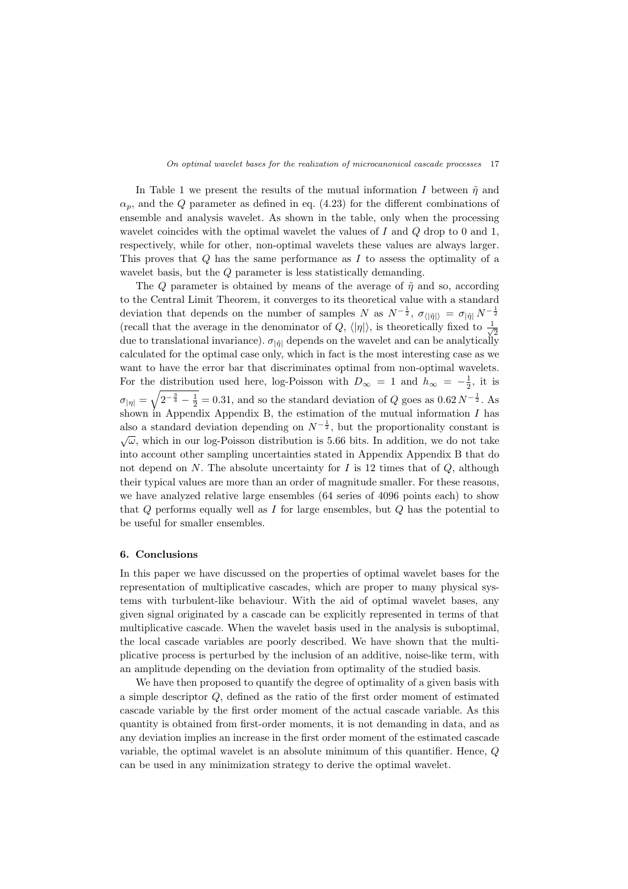In Table 1 we present the results of the mutual information *I* between  $\tilde{\eta}$  and  $\alpha_p$ , and the *Q* parameter as defined in eq. (4.23) for the different combinations of ensemble and analysis wavelet. As shown in the table, only when the processing wavelet coincides with the optimal wavelet the values of *I* and *Q* drop to 0 and 1, respectively, while for other, non-optimal wavelets these values are always larger. This proves that *Q* has the same performance as *I* to assess the optimality of a wavelet basis, but the *Q* parameter is less statistically demanding.

The *Q* parameter is obtained by means of the average of  $\tilde{\eta}$  and so, according to the Central Limit Theorem, it converges to its theoretical value with a standard deviation that depends on the number of samples *N* as  $N^{-\frac{1}{2}}$ ,  $\sigma_{\langle |\tilde{\eta}|\rangle} = \sigma_{|\tilde{\eta}|} N^{-\frac{1}{2}}$ (recall that the average in the denominator of *Q*,  $\langle |\eta| \rangle$ , is theoretically fixed to  $\frac{1}{\sqrt{2}}$  $\overline{c}$ due to translational invariance).  $\sigma_{|\tilde{\eta}|}$  depends on the wavelet and can be analytically calculated for the optimal case only, which in fact is the most interesting case as we want to have the error bar that discriminates optimal from non-optimal wavelets. For the distribution used here, log-Poisson with  $D_{\infty} = 1$  and  $h_{\infty} = -\frac{1}{2}$ , it is  $\sigma_{|\eta|} = \sqrt{2^{-\frac{3}{4}} - \frac{1}{2}} = 0.31$ , and so the standard deviation of *Q* goes as  $0.62 N^{-\frac{1}{2}}$ . As shown in Appendix Appendix B, the estimation of the mutual information *I* has also a standard deviation depending on  $N^{-\frac{1}{2}}$ , but the proportionality constant is  $\sqrt{\omega}$ , which in our log-Poisson distribution is 5.66 bits. In addition, we do not take into account other sampling uncertainties stated in Appendix Appendix B that do not depend on *N*. The absolute uncertainty for *I* is 12 times that of  $Q$ , although their typical values are more than an order of magnitude smaller. For these reasons, we have analyzed relative large ensembles (64 series of 4096 points each) to show that *Q* performs equally well as *I* for large ensembles, but *Q* has the potential to be useful for smaller ensembles.

#### **6. Conclusions**

In this paper we have discussed on the properties of optimal wavelet bases for the representation of multiplicative cascades, which are proper to many physical systems with turbulent-like behaviour. With the aid of optimal wavelet bases, any given signal originated by a cascade can be explicitly represented in terms of that multiplicative cascade. When the wavelet basis used in the analysis is suboptimal, the local cascade variables are poorly described. We have shown that the multiplicative process is perturbed by the inclusion of an additive, noise-like term, with an amplitude depending on the deviation from optimality of the studied basis.

We have then proposed to quantify the degree of optimality of a given basis with a simple descriptor *Q*, defined as the ratio of the first order moment of estimated cascade variable by the first order moment of the actual cascade variable. As this quantity is obtained from first-order moments, it is not demanding in data, and as any deviation implies an increase in the first order moment of the estimated cascade variable, the optimal wavelet is an absolute minimum of this quantifier. Hence, *Q* can be used in any minimization strategy to derive the optimal wavelet.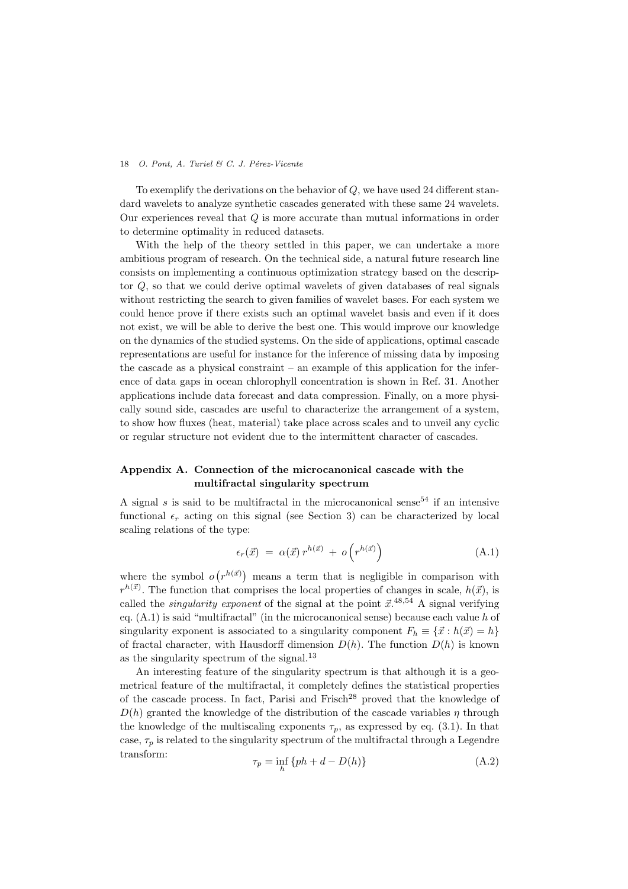To exemplify the derivations on the behavior of *Q*, we have used 24 different standard wavelets to analyze synthetic cascades generated with these same 24 wavelets. Our experiences reveal that *Q* is more accurate than mutual informations in order to determine optimality in reduced datasets.

With the help of the theory settled in this paper, we can undertake a more ambitious program of research. On the technical side, a natural future research line consists on implementing a continuous optimization strategy based on the descriptor *Q*, so that we could derive optimal wavelets of given databases of real signals without restricting the search to given families of wavelet bases. For each system we could hence prove if there exists such an optimal wavelet basis and even if it does not exist, we will be able to derive the best one. This would improve our knowledge on the dynamics of the studied systems. On the side of applications, optimal cascade representations are useful for instance for the inference of missing data by imposing the cascade as a physical constraint – an example of this application for the inference of data gaps in ocean chlorophyll concentration is shown in Ref. 31. Another applications include data forecast and data compression. Finally, on a more physically sound side, cascades are useful to characterize the arrangement of a system, to show how fluxes (heat, material) take place across scales and to unveil any cyclic or regular structure not evident due to the intermittent character of cascades.

# **Appendix A. Connection of the microcanonical cascade with the multifractal singularity spectrum**

A signal  $s$  is said to be multifractal in the microcanonical sense<sup>54</sup> if an intensive functional  $\epsilon_r$  acting on this signal (see Section 3) can be characterized by local scaling relations of the type:

$$
\epsilon_r(\vec{x}) = \alpha(\vec{x}) r^{h(\vec{x})} + o(r^{h(\vec{x})}) \tag{A.1}
$$

where the symbol  $o(r^{h(\vec{x})})$  means a term that is negligible in comparison with  $r^{h(\vec{x})}$ . The function that comprises the local properties of changes in scale,  $h(\vec{x})$ , is called the *singularity exponent* of the signal at the point  $\vec{x}$ .<sup>48,54</sup> A signal verifying eq. (A.1) is said "multifractal" (in the microcanonical sense) because each value *h* of singularity exponent is associated to a singularity component  $F_h \equiv \{\vec{x}: h(\vec{x}) = h\}$ of fractal character, with Hausdorff dimension  $D(h)$ . The function  $D(h)$  is known as the singularity spectrum of the signal.<sup>13</sup>

An interesting feature of the singularity spectrum is that although it is a geometrical feature of the multifractal, it completely defines the statistical properties of the cascade process. In fact, Parisi and Frisch<sup>28</sup> proved that the knowledge of  $D(h)$  granted the knowledge of the distribution of the cascade variables *η* through the knowledge of the multiscaling exponents  $\tau_p$ , as expressed by eq. (3.1). In that case,  $\tau_p$  is related to the singularity spectrum of the multifractal through a Legendre transform:

$$
\tau_p = \inf_h \{ ph + d - D(h) \} \tag{A.2}
$$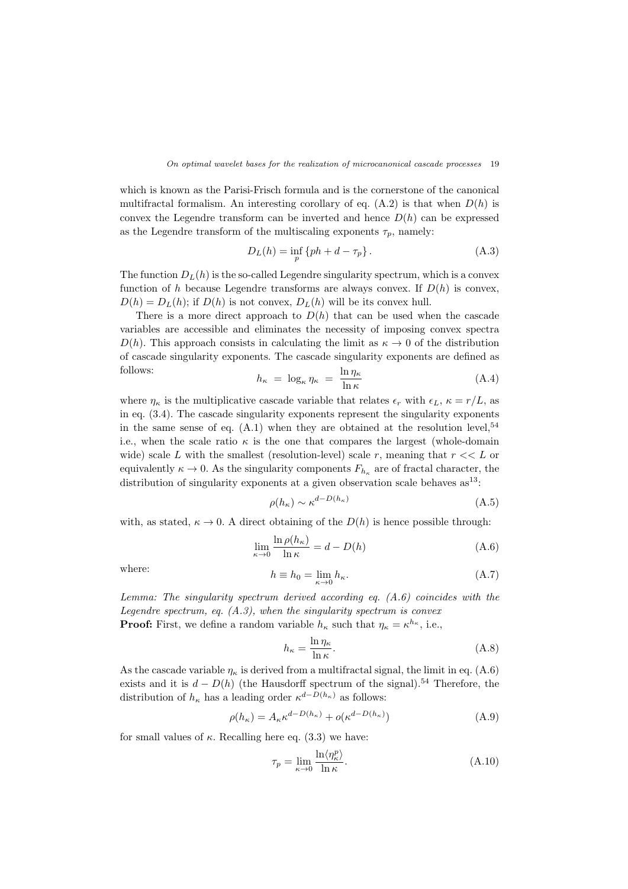which is known as the Parisi-Frisch formula and is the cornerstone of the canonical multifractal formalism. An interesting corollary of eq.  $(A.2)$  is that when  $D(h)$  is convex the Legendre transform can be inverted and hence  $D(h)$  can be expressed as the Legendre transform of the multiscaling exponents  $\tau_p$ , namely:

$$
D_L(h) = \inf_p \{ ph + d - \tau_p \}.
$$
 (A.3)

The function  $D_L(h)$  is the so-called Legendre singularity spectrum, which is a convex function of *h* because Legendre transforms are always convex. If  $D(h)$  is convex,  $D(h) = D_L(h)$ ; if  $D(h)$  is not convex,  $D_L(h)$  will be its convex hull.

There is a more direct approach to  $D(h)$  that can be used when the cascade variables are accessible and eliminates the necessity of imposing convex spectra  $D(h)$ . This approach consists in calculating the limit as  $\kappa \to 0$  of the distribution of cascade singularity exponents. The cascade singularity exponents are defined as follows: ln *η<sup>κ</sup>*

$$
h_{\kappa} = \log_{\kappa} \eta_{\kappa} = \frac{\ln \eta_{\kappa}}{\ln \kappa} \tag{A.4}
$$

where  $\eta_{\kappa}$  is the multiplicative cascade variable that relates  $\epsilon_r$  with  $\epsilon_L$ ,  $\kappa = r/L$ , as in eq. (3.4). The cascade singularity exponents represent the singularity exponents in the same sense of eq.  $(A.1)$  when they are obtained at the resolution level,  $54$ i.e., when the scale ratio  $\kappa$  is the one that compares the largest (whole-domain wide) scale *L* with the smallest (resolution-level) scale *r*, meaning that  $r \ll L$  or equivalently  $\kappa \to 0$ . As the singularity components  $F_{h_{\kappa}}$  are of fractal character, the distribution of singularity exponents at a given observation scale behaves  $as^{13}$ :

$$
\rho(h_{\kappa}) \sim \kappa^{d - D(h_{\kappa})} \tag{A.5}
$$

with, as stated,  $\kappa \to 0$ . A direct obtaining of the  $D(h)$  is hence possible through:

$$
\lim_{\kappa \to 0} \frac{\ln \rho(h_{\kappa})}{\ln \kappa} = d - D(h) \tag{A.6}
$$

where:  
\n
$$
h \equiv h_0 = \lim_{\kappa \to 0} h_{\kappa}.
$$
\n(A.7)

*Lemma: The singularity spectrum derived according eq. (A.6) coincides with the Legendre spectrum, eq. (A.3), when the singularity spectrum is convex* **Proof:** First, we define a random variable  $h_{\kappa}$  such that  $\eta_{\kappa} = \kappa^{h_{\kappa}},$  i.e.,

$$
h_{\kappa} = \frac{\ln \eta_{\kappa}}{\ln \kappa}.
$$
\n(A.8)

As the cascade variable  $\eta_{\kappa}$  is derived from a multifractal signal, the limit in eq. (A.6) exists and it is  $d - D(h)$  (the Hausdorff spectrum of the signal).<sup>54</sup> Therefore, the distribution of  $h_{\kappa}$  has a leading order  $\kappa^{d-D(h_{\kappa})}$  as follows:

$$
\rho(h_{\kappa}) = A_{\kappa} \kappa^{d - D(h_{\kappa})} + o(\kappa^{d - D(h_{\kappa})})
$$
\n(A.9)

for small values of  $\kappa$ . Recalling here eq. (3.3) we have:

$$
\tau_p = \lim_{\kappa \to 0} \frac{\ln \langle \eta_\kappa^p \rangle}{\ln \kappa}.
$$
\n(A.10)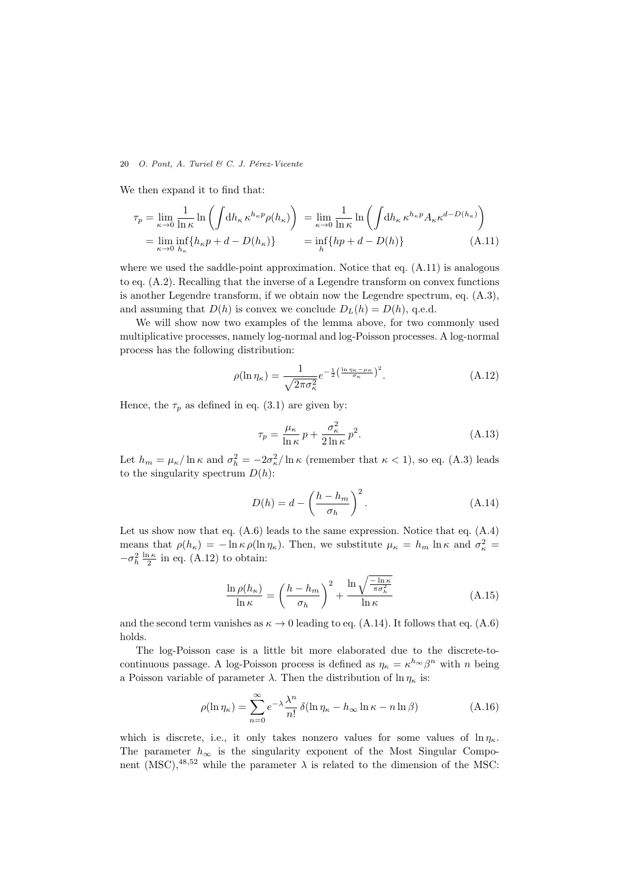We then expand it to find that:

$$
\tau_p = \lim_{\kappa \to 0} \frac{1}{\ln \kappa} \ln \left( \int \mathrm{d}h_{\kappa} \,\kappa^{h_{\kappa}p} \rho(h_{\kappa}) \right) = \lim_{\kappa \to 0} \frac{1}{\ln \kappa} \ln \left( \int \mathrm{d}h_{\kappa} \,\kappa^{h_{\kappa}p} A_{\kappa} \kappa^{d - D(h_{\kappa})} \right)
$$
  
= 
$$
\lim_{\kappa \to 0} \inf_{h_{\kappa}} \{h_{\kappa}p + d - D(h_{\kappa})\} = \inf_{h} \{hp + d - D(h)\}
$$
(A.11)

where we used the saddle-point approximation. Notice that eq.  $(A.11)$  is analogous to eq. (A.2). Recalling that the inverse of a Legendre transform on convex functions is another Legendre transform, if we obtain now the Legendre spectrum, eq. (A.3), and assuming that  $D(h)$  is convex we conclude  $D_L(h) = D(h)$ , q.e.d.

We will show now two examples of the lemma above, for two commonly used multiplicative processes, namely log-normal and log-Poisson processes. A log-normal process has the following distribution:

$$
\rho(\ln \eta_{\kappa}) = \frac{1}{\sqrt{2\pi\sigma_{\kappa}^2}} e^{-\frac{1}{2}\left(\frac{\ln \eta_{\kappa} - \mu_{\kappa}}{\sigma_{\kappa}}\right)^2}.
$$
\n(A.12)

Hence, the  $\tau_p$  as defined in eq. (3.1) are given by:

$$
\tau_p = \frac{\mu_\kappa}{\ln \kappa} p + \frac{\sigma_\kappa^2}{2 \ln \kappa} p^2.
$$
\n(A.13)

Let  $h_m = \mu_\kappa / \ln \kappa$  and  $\sigma_h^2 = -2\sigma_\kappa^2 / \ln \kappa$  (remember that  $\kappa < 1$ ), so eq. (A.3) leads to the singularity spectrum  $D(h)$ :

$$
D(h) = d - \left(\frac{h - h_m}{\sigma_h}\right)^2.
$$
\n(A.14)

Let us show now that eq.  $(A.6)$  leads to the same expression. Notice that eq.  $(A.4)$ means that  $\rho(h_{\kappa}) = -\ln \kappa \rho(\ln \eta_{\kappa})$ . Then, we substitute  $\mu_{\kappa} = h_m \ln \kappa$  and  $\sigma_{\kappa}^2 =$  $-\sigma_h^2 \frac{\ln \kappa}{2}$  in eq. (A.12) to obtain:

$$
\frac{\ln \rho(h_{\kappa})}{\ln \kappa} = \left(\frac{h - h_m}{\sigma_h}\right)^2 + \frac{\ln \sqrt{\frac{-\ln \kappa}{\pi \sigma_h^2}}}{\ln \kappa} \tag{A.15}
$$

and the second term vanishes as  $\kappa \to 0$  leading to eq. (A.14). It follows that eq. (A.6) holds.

The log-Poisson case is a little bit more elaborated due to the discrete-tocontinuous passage. A log-Poisson process is defined as  $\eta_{\kappa} = \kappa^{h_{\infty}} \beta^{n}$  with *n* being a Poisson variable of parameter  $\lambda$ . Then the distribution of  $\ln \eta_{\kappa}$  is:

$$
\rho(\ln \eta_{\kappa}) = \sum_{n=0}^{\infty} e^{-\lambda} \frac{\lambda^n}{n!} \, \delta(\ln \eta_{\kappa} - h_{\infty} \ln \kappa - n \ln \beta) \tag{A.16}
$$

which is discrete, i.e., it only takes nonzero values for some values of  $\ln \eta_{\kappa}$ . The parameter  $h_{\infty}$  is the singularity exponent of the Most Singular Component (MSC),<sup>48,52</sup> while the parameter  $\lambda$  is related to the dimension of the MSC: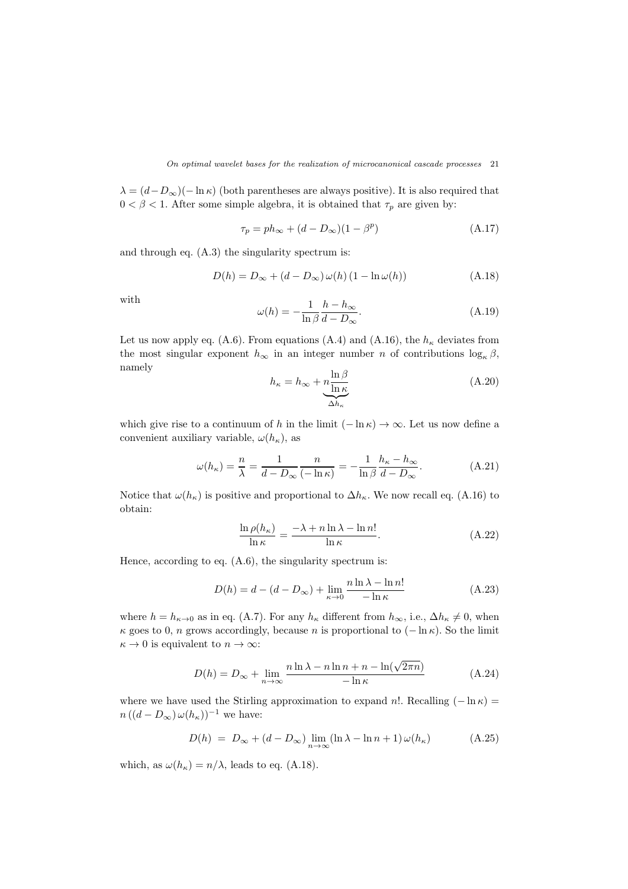$\lambda = (d - D_{\infty})(- \ln \kappa)$  (both parentheses are always positive). It is also required that  $0 < \beta < 1$ . After some simple algebra, it is obtained that  $\tau_p$  are given by:

$$
\tau_p = ph_{\infty} + (d - D_{\infty})(1 - \beta^p) \tag{A.17}
$$

and through eq. (A.3) the singularity spectrum is:

$$
D(h) = D_{\infty} + (d - D_{\infty}) \omega(h) (1 - \ln \omega(h))
$$
 (A.18)

with

$$
\omega(h) = -\frac{1}{\ln \beta} \frac{h - h_{\infty}}{d - D_{\infty}}.\tag{A.19}
$$

Let us now apply eq. (A.6). From equations (A.4) and (A.16), the  $h_{\kappa}$  deviates from the most singular exponent  $h_{\infty}$  in an integer number *n* of contributions  $\log_{\kappa} \beta$ , namely

$$
h_{\kappa} = h_{\infty} + \underbrace{\frac{\ln \beta}{\ln \kappa}}_{\Delta h_{\kappa}}
$$
\n(A.20)

which give rise to a continuum of *h* in the limit  $(-\ln \kappa) \to \infty$ . Let us now define a convenient auxiliary variable,  $\omega(h_{\kappa})$ , as

$$
\omega(h_{\kappa}) = \frac{n}{\lambda} = \frac{1}{d - D_{\infty}} \frac{n}{(-\ln \kappa)} = -\frac{1}{\ln \beta} \frac{h_{\kappa} - h_{\infty}}{d - D_{\infty}}.
$$
 (A.21)

Notice that  $\omega(h_{\kappa})$  is positive and proportional to  $\Delta h_{\kappa}$ . We now recall eq. (A.16) to obtain:

$$
\frac{\ln \rho(h_{\kappa})}{\ln \kappa} = \frac{-\lambda + n \ln \lambda - \ln n!}{\ln \kappa}.
$$
\n(A.22)

Hence, according to eq.  $(A.6)$ , the singularity spectrum is:

$$
D(h) = d - (d - D_{\infty}) + \lim_{\kappa \to 0} \frac{n \ln \lambda - \ln n!}{-\ln \kappa}
$$
 (A.23)

where  $h = h_{\kappa \to 0}$  as in eq. (A.7). For any  $h_{\kappa}$  different from  $h_{\infty}$ , i.e.,  $\Delta h_{\kappa} \neq 0$ , when *κ* goes to 0, *n* grows accordingly, because *n* is proportional to  $(-\ln \kappa)$ . So the limit  $\kappa \to 0$  is equivalent to  $n \to \infty$ :

$$
D(h) = D_{\infty} + \lim_{n \to \infty} \frac{n \ln \lambda - n \ln n + n - \ln(\sqrt{2\pi n})}{-\ln \kappa}
$$
 (A.24)

where we have used the Stirling approximation to expand *n*!. Recalling  $(-\ln \kappa)$  $n((d - D_{\infty}) \omega(h_{\kappa}))^{-1}$  we have:

$$
D(h) = D_{\infty} + (d - D_{\infty}) \lim_{n \to \infty} (\ln \lambda - \ln n + 1) \omega(h_{\kappa})
$$
 (A.25)

which, as  $\omega(h_{\kappa}) = n/\lambda$ , leads to eq. (A.18).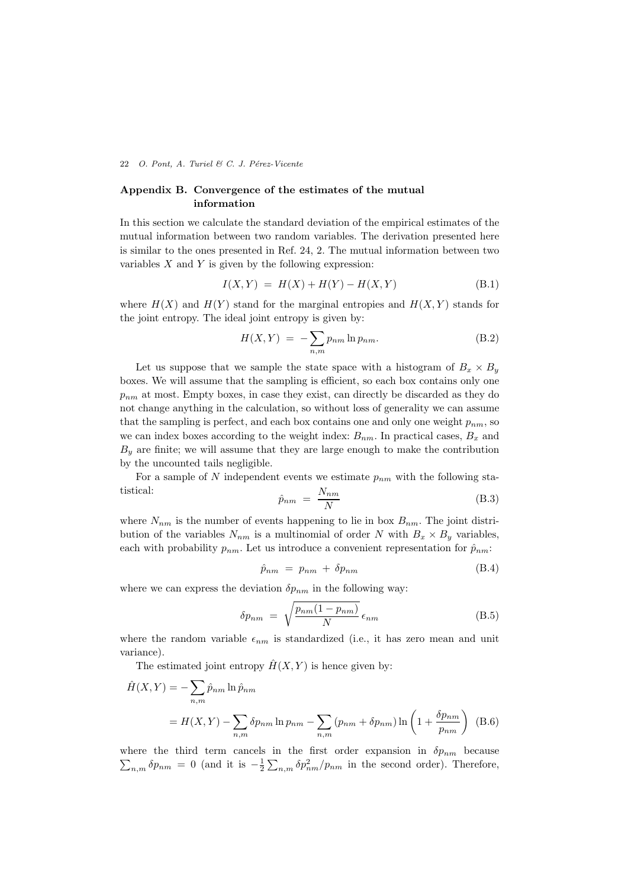# **Appendix B. Convergence of the estimates of the mutual information**

In this section we calculate the standard deviation of the empirical estimates of the mutual information between two random variables. The derivation presented here is similar to the ones presented in Ref. 24, 2. The mutual information between two variables *X* and *Y* is given by the following expression:

$$
I(X,Y) = H(X) + H(Y) - H(X,Y)
$$
 (B.1)

where  $H(X)$  and  $H(Y)$  stand for the marginal entropies and  $H(X, Y)$  stands for the joint entropy. The ideal joint entropy is given by:

$$
H(X,Y) = -\sum_{n,m} p_{nm} \ln p_{nm}.
$$
 (B.2)

Let us suppose that we sample the state space with a histogram of  $B_x \times B_y$ boxes. We will assume that the sampling is efficient, so each box contains only one *pnm* at most. Empty boxes, in case they exist, can directly be discarded as they do not change anything in the calculation, so without loss of generality we can assume that the sampling is perfect, and each box contains one and only one weight  $p_{nm}$ , so we can index boxes according to the weight index:  $B_{nm}$ . In practical cases,  $B_x$  and  $B_y$  are finite; we will assume that they are large enough to make the contribution by the uncounted tails negligible.

For a sample of  $N$  independent events we estimate  $p_{nm}$  with the following statistical: *Nnm*

$$
\hat{p}_{nm} = \frac{N_{nm}}{N} \tag{B.3}
$$

where  $N_{nm}$  is the number of events happening to lie in box  $B_{nm}$ . The joint distribution of the variables  $N_{nm}$  is a multinomial of order  $N$  with  $B_x \times B_y$  variables, each with probability  $p_{nm}$ . Let us introduce a convenient representation for  $\hat{p}_{nm}$ :

$$
\hat{p}_{nm} = p_{nm} + \delta p_{nm} \tag{B.4}
$$

where we can express the deviation  $\delta p_{nm}$  in the following way:

$$
\delta p_{nm} = \sqrt{\frac{p_{nm}(1 - p_{nm})}{N}} \epsilon_{nm}
$$
\n(B.5)

where the random variable  $\epsilon_{nm}$  is standardized (i.e., it has zero mean and unit variance).

The estimated joint entropy  $\hat{H}(X, Y)$  is hence given by:

$$
\hat{H}(X,Y) = -\sum_{n,m} \hat{p}_{nm} \ln \hat{p}_{nm}
$$
\n
$$
= H(X,Y) - \sum_{n,m} \delta p_{nm} \ln p_{nm} - \sum_{n,m} (p_{nm} + \delta p_{nm}) \ln \left( 1 + \frac{\delta p_{nm}}{p_{nm}} \right) \quad (B.6)
$$

where the third term cancels in the first order expansion in  $\delta p_{nm}$  because  $\sum_{n,m} \delta p_{nm} = 0$  (and it is  $-\frac{1}{2} \sum_{n,m} \delta p_{nm}^2 / p_{nm}$  in the second order). Therefore,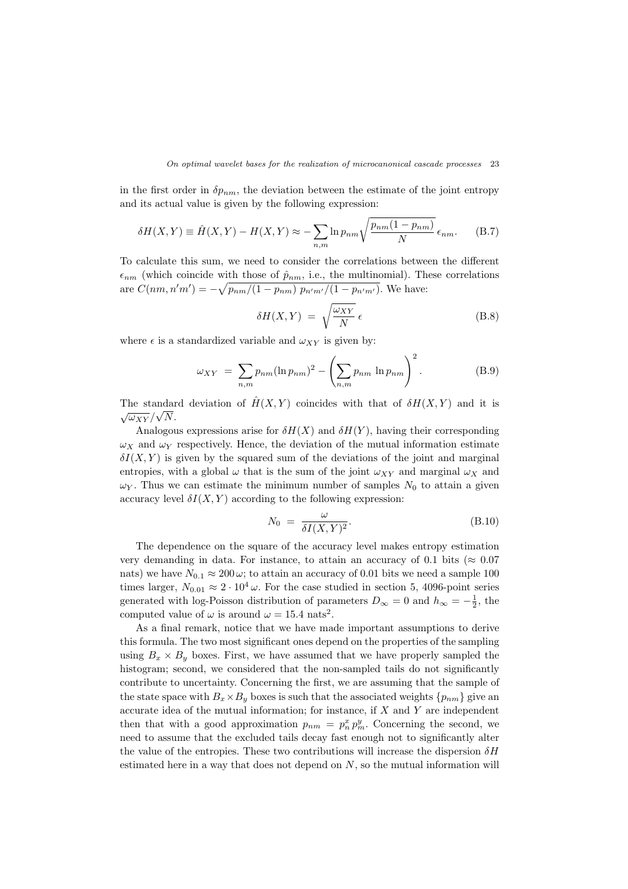in the first order in  $\delta p_{nm}$ , the deviation between the estimate of the joint entropy and its actual value is given by the following expression:

$$
\delta H(X,Y) \equiv \hat{H}(X,Y) - H(X,Y) \approx -\sum_{n,m} \ln p_{nm} \sqrt{\frac{p_{nm}(1-p_{nm})}{N}} \epsilon_{nm}.
$$
 (B.7)

To calculate this sum, we need to consider the correlations between the different  $\epsilon_{nm}$  (which coincide with those of  $\hat{p}_{nm}$ , i.e., the multinomial). These correlations are  $C(nm, n'm') = -\sqrt{p_{nm}/(1-p_{nm}) p_{n'm'}/(1-p_{n'm'})}$ . We have:

$$
\delta H(X,Y) = \sqrt{\frac{\omega_{XY}}{N}} \epsilon
$$
 (B.8)

where  $\epsilon$  is a standardized variable and  $\omega_{XY}$  is given by:

$$
\omega_{XY} = \sum_{n,m} p_{nm} (\ln p_{nm})^2 - \left(\sum_{n,m} p_{nm} \ln p_{nm}\right)^2.
$$
 (B.9)

The standard deviation of  $\hat{H}(X, Y)$  coincides with that of  $\delta H(X, Y)$  and it is  $\sqrt{\omega_{XY}}/\sqrt{N}$ .

Analogous expressions arise for  $\delta H(X)$  and  $\delta H(Y)$ , having their corresponding  $\omega_X$  and  $\omega_Y$  respectively. Hence, the deviation of the mutual information estimate  $\delta I(X, Y)$  is given by the squared sum of the deviations of the joint and marginal entropies, with a global  $\omega$  that is the sum of the joint  $\omega_{XY}$  and marginal  $\omega_X$  and  $\omega_Y$ . Thus we can estimate the minimum number of samples  $N_0$  to attain a given accuracy level  $\delta I(X, Y)$  according to the following expression:

$$
N_0 = \frac{\omega}{\delta I(X, Y)^2}.
$$
\n(B.10)

The dependence on the square of the accuracy level makes entropy estimation very demanding in data. For instance, to attain an accuracy of 0.1 bits ( $\approx 0.07$ ) nats) we have  $N_{0,1} \approx 200 \,\omega$ ; to attain an accuracy of 0.01 bits we need a sample 100 times larger,  $N_{0.01} \approx 2 \cdot 10^4 \,\omega$ . For the case studied in section 5, 4096-point series generated with log-Poisson distribution of parameters  $D_{\infty} = 0$  and  $h_{\infty} = -\frac{1}{2}$ , the computed value of  $\omega$  is around  $\omega = 15.4$  nats<sup>2</sup>.

As a final remark, notice that we have made important assumptions to derive this formula. The two most significant ones depend on the properties of the sampling using  $B_x \times B_y$  boxes. First, we have assumed that we have properly sampled the histogram; second, we considered that the non-sampled tails do not significantly contribute to uncertainty. Concerning the first, we are assuming that the sample of the state space with  $B_x \times B_y$  boxes is such that the associated weights  $\{p_{nm}\}$  give an accurate idea of the mutual information; for instance, if *X* and *Y* are independent then that with a good approximation  $p_{nm} = p_n^x p_m^y$ . Concerning the second, we need to assume that the excluded tails decay fast enough not to significantly alter the value of the entropies. These two contributions will increase the dispersion *δH* estimated here in a way that does not depend on *N*, so the mutual information will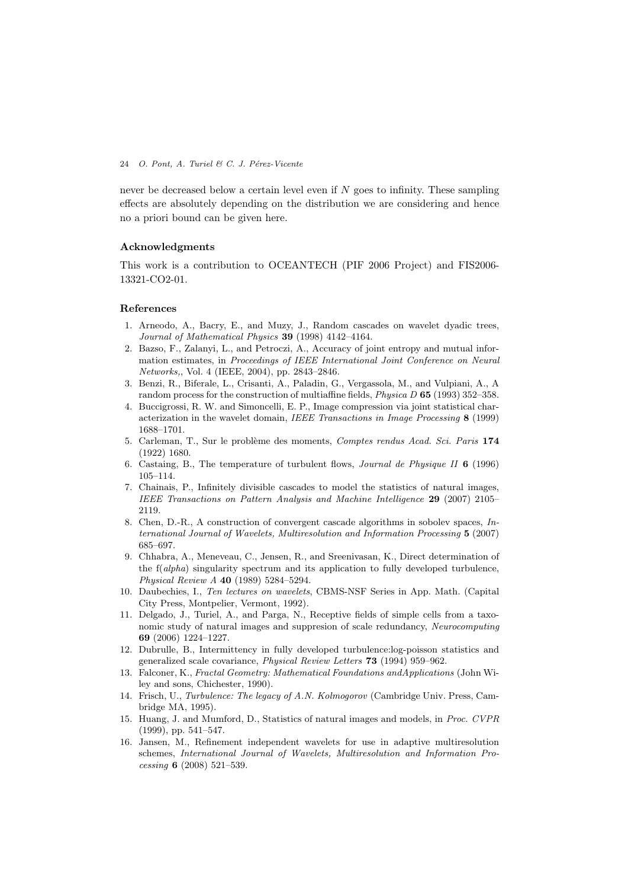never be decreased below a certain level even if *N* goes to infinity. These sampling effects are absolutely depending on the distribution we are considering and hence no a priori bound can be given here.

# **Acknowledgments**

This work is a contribution to OCEANTECH (PIF 2006 Project) and FIS2006- 13321-CO2-01.

#### **References**

- 1. Arneodo, A., Bacry, E., and Muzy, J., Random cascades on wavelet dyadic trees, *Journal of Mathematical Physics* **39** (1998) 4142–4164.
- 2. Bazso, F., Zalanyi, L., and Petroczi, A., Accuracy of joint entropy and mutual information estimates, in *Proceedings of IEEE International Joint Conference on Neural Networks,*, Vol. 4 (IEEE, 2004), pp. 2843–2846.
- 3. Benzi, R., Biferale, L., Crisanti, A., Paladin, G., Vergassola, M., and Vulpiani, A., A random process for the construction of multiaffine fields, *Physica D* **65** (1993) 352–358.
- 4. Buccigrossi, R. W. and Simoncelli, E. P., Image compression via joint statistical characterization in the wavelet domain, *IEEE Transactions in Image Processing* **8** (1999) 1688–1701.
- 5. Carleman, T., Sur le probl`eme des moments, *Comptes rendus Acad. Sci. Paris* **174** (1922) 1680.
- 6. Castaing, B., The temperature of turbulent flows, *Journal de Physique II* **6** (1996) 105–114.
- 7. Chainais, P., Infinitely divisible cascades to model the statistics of natural images, *IEEE Transactions on Pattern Analysis and Machine Intelligence* **29** (2007) 2105– 2119.
- 8. Chen, D.-R., A construction of convergent cascade algorithms in sobolev spaces, *International Journal of Wavelets, Multiresolution and Information Processing* **5** (2007) 685–697.
- 9. Chhabra, A., Meneveau, C., Jensen, R., and Sreenivasan, K., Direct determination of the f(*alpha*) singularity spectrum and its application to fully developed turbulence, *Physical Review A* **40** (1989) 5284–5294.
- 10. Daubechies, I., *Ten lectures on wavelets*, CBMS-NSF Series in App. Math. (Capital City Press, Montpelier, Vermont, 1992).
- 11. Delgado, J., Turiel, A., and Parga, N., Receptive fields of simple cells from a taxonomic study of natural images and suppresion of scale redundancy, *Neurocomputing* **69** (2006) 1224–1227.
- 12. Dubrulle, B., Intermittency in fully developed turbulence:log-poisson statistics and generalized scale covariance, *Physical Review Letters* **73** (1994) 959–962.
- 13. Falconer, K., *Fractal Geometry: Mathematical Foundations andApplications* (John Wiley and sons, Chichester, 1990).
- 14. Frisch, U., *Turbulence: The legacy of A.N. Kolmogorov* (Cambridge Univ. Press, Cambridge MA, 1995).
- 15. Huang, J. and Mumford, D., Statistics of natural images and models, in *Proc. CVPR* (1999), pp. 541–547.
- 16. Jansen, M., Refinement independent wavelets for use in adaptive multiresolution schemes, *International Journal of Wavelets, Multiresolution and Information Processing* **6** (2008) 521–539.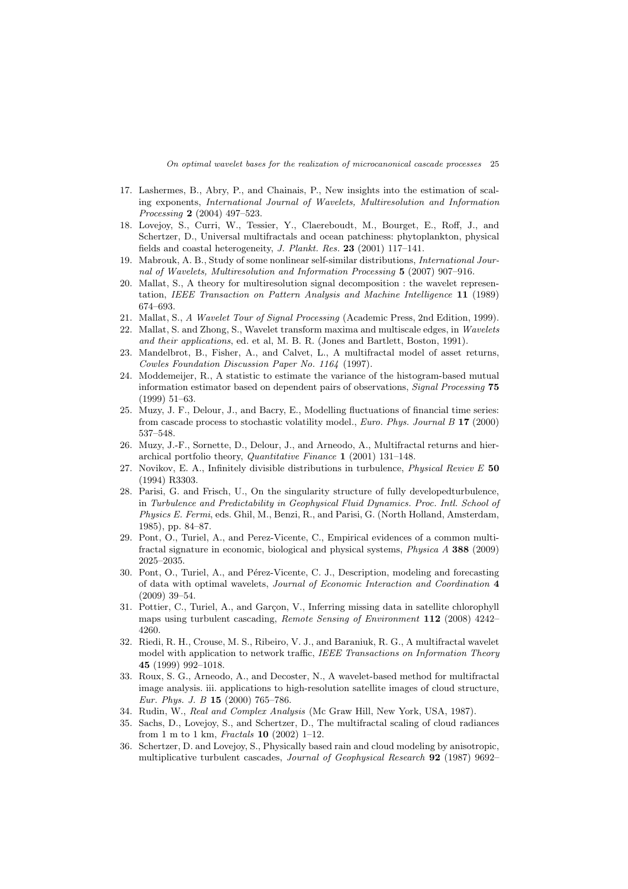- 17. Lashermes, B., Abry, P., and Chainais, P., New insights into the estimation of scaling exponents, *International Journal of Wavelets, Multiresolution and Information Processing* **2** (2004) 497–523.
- 18. Lovejoy, S., Curri, W., Tessier, Y., Claereboudt, M., Bourget, E., Roff, J., and Schertzer, D., Universal multifractals and ocean patchiness: phytoplankton, physical fields and coastal heterogeneity, *J. Plankt. Res.* **23** (2001) 117–141.
- 19. Mabrouk, A. B., Study of some nonlinear self-similar distributions, *International Journal of Wavelets, Multiresolution and Information Processing* **5** (2007) 907–916.
- 20. Mallat, S., A theory for multiresolution signal decomposition : the wavelet representation, *IEEE Transaction on Pattern Analysis and Machine Intelligence* **11** (1989) 674–693.
- 21. Mallat, S., *A Wavelet Tour of Signal Processing* (Academic Press, 2nd Edition, 1999).
- 22. Mallat, S. and Zhong, S., Wavelet transform maxima and multiscale edges, in *Wavelets and their applications*, ed. et al, M. B. R. (Jones and Bartlett, Boston, 1991).
- 23. Mandelbrot, B., Fisher, A., and Calvet, L., A multifractal model of asset returns, *Cowles Foundation Discussion Paper No. 1164* (1997).
- 24. Moddemeijer, R., A statistic to estimate the variance of the histogram-based mutual information estimator based on dependent pairs of observations, *Signal Processing* **75** (1999) 51–63.
- 25. Muzy, J. F., Delour, J., and Bacry, E., Modelling fluctuations of financial time series: from cascade process to stochastic volatility model., *Euro. Phys. Journal B* **17** (2000) 537–548.
- 26. Muzy, J.-F., Sornette, D., Delour, J., and Arneodo, A., Multifractal returns and hierarchical portfolio theory, *Quantitative Finance* **1** (2001) 131–148.
- 27. Novikov, E. A., Infinitely divisible distributions in turbulence, *Physical Reviev E* **50** (1994) R3303.
- 28. Parisi, G. and Frisch, U., On the singularity structure of fully developedturbulence, in *Turbulence and Predictability in Geophysical Fluid Dynamics. Proc. Intl. School of Physics E. Fermi*, eds. Ghil, M., Benzi, R., and Parisi, G. (North Holland, Amsterdam, 1985), pp. 84–87.
- 29. Pont, O., Turiel, A., and Perez-Vicente, C., Empirical evidences of a common multifractal signature in economic, biological and physical systems, *Physica A* **388** (2009) 2025–2035.
- 30. Pont, O., Turiel, A., and Pérez-Vicente, C. J., Description, modeling and forecasting of data with optimal wavelets, *Journal of Economic Interaction and Coordination* **4** (2009) 39–54.
- 31. Pottier, C., Turiel, A., and Garçon, V., Inferring missing data in satellite chlorophyll maps using turbulent cascading, *Remote Sensing of Environment* **112** (2008) 4242– 4260.
- 32. Riedi, R. H., Crouse, M. S., Ribeiro, V. J., and Baraniuk, R. G., A multifractal wavelet model with application to network traffic, *IEEE Transactions on Information Theory* **45** (1999) 992–1018.
- 33. Roux, S. G., Arneodo, A., and Decoster, N., A wavelet-based method for multifractal image analysis. iii. applications to high-resolution satellite images of cloud structure, *Eur. Phys. J. B* **15** (2000) 765–786.
- 34. Rudin, W., *Real and Complex Analysis* (Mc Graw Hill, New York, USA, 1987).
- 35. Sachs, D., Lovejoy, S., and Schertzer, D., The multifractal scaling of cloud radiances from 1 m to 1 km, *Fractals* **10** (2002) 1–12.
- 36. Schertzer, D. and Lovejoy, S., Physically based rain and cloud modeling by anisotropic, multiplicative turbulent cascades, *Journal of Geophysical Research* **92** (1987) 9692–